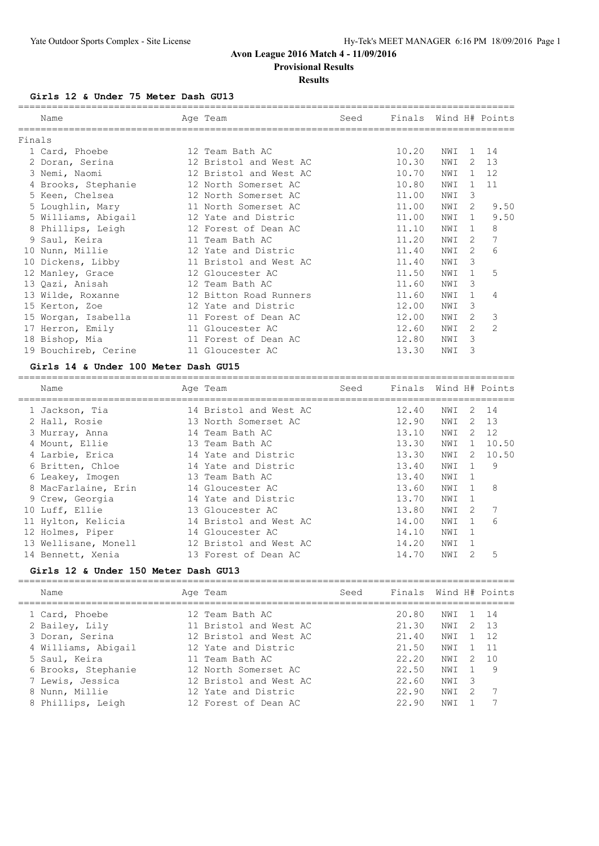# **Provisional Results**

#### **Results**

#### **Girls 12 & Under 75 Meter Dash GU13**

|        | Name                 | Age Team               | Seed | Finals |     |               | Wind H# Points |
|--------|----------------------|------------------------|------|--------|-----|---------------|----------------|
| Finals |                      |                        |      |        |     |               |                |
|        | 1 Card, Phoebe       | 12 Team Bath AC        |      | 10.20  | NWI | $\mathbf{1}$  | 14             |
|        | 2 Doran, Serina      | 12 Bristol and West AC |      | 10.30  | NWI | 2             | 13             |
|        | 3 Nemi, Naomi        | 12 Bristol and West AC |      | 10.70  | NWI | $\mathbf{1}$  | 12             |
|        | 4 Brooks, Stephanie  | 12 North Somerset AC   |      | 10.80  | NWI | $\mathbf{1}$  | 11             |
|        | 5 Keen, Chelsea      | 12 North Somerset AC   |      | 11.00  | NWI | 3             |                |
|        | 5 Loughlin, Mary     | 11 North Somerset AC   |      | 11.00  | NWI | 2             | 9.50           |
|        | 5 Williams, Abigail  | 12 Yate and Distric    |      | 11.00  | NWI | $\mathbf{1}$  | 9.50           |
|        | 8 Phillips, Leigh    | 12 Forest of Dean AC   |      | 11.10  | NWI | $\mathbf{1}$  | 8              |
|        | 9 Saul, Keira        | 11 Team Bath AC        |      | 11.20  | NWI | 2             | 7              |
|        | 10 Nunn, Millie      | 12 Yate and Distric    |      | 11.40  | NWI | $\mathcal{L}$ | 6              |
| 10     | Dickens, Libby       | 11 Bristol and West AC |      | 11.40  | NWI | 3             |                |
|        | 12 Manley, Grace     | 12 Gloucester AC       |      | 11.50  | NWI | $\mathbf{1}$  | 5              |
|        | 13 Qazi, Anisah      | 12 Team Bath AC        |      | 11.60  | NWI | 3             |                |
|        | 13 Wilde, Roxanne    | 12 Bitton Road Runners |      | 11.60  | NWI | $\mathbf{1}$  | 4              |
|        | 15 Kerton, Zoe       | 12 Yate and Distric    |      | 12.00  | NWI | 3             |                |
|        | 15 Worgan, Isabella  | 11 Forest of Dean AC   |      | 12.00  | NWI | $\mathcal{L}$ | 3              |
|        | 17 Herron, Emily     | 11 Gloucester AC       |      | 12.60  | NWI | $\mathcal{L}$ | $\overline{2}$ |
|        | 18 Bishop, Mia       | 11 Forest of Dean AC   |      | 12.80  | NWI | 3             |                |
|        | 19 Bouchireb, Cerine | 11 Gloucester AC       |      | 13.30  | NWI | 3             |                |
|        |                      |                        |      |        |     |               |                |

#### **Girls 14 & Under 100 Meter Dash GU15**

| Name                 |  | Seed                                                                                                                                                                                                                                                                                                                             |       |     |               |                       |
|----------------------|--|----------------------------------------------------------------------------------------------------------------------------------------------------------------------------------------------------------------------------------------------------------------------------------------------------------------------------------|-------|-----|---------------|-----------------------|
| 1 Jackson, Tia       |  |                                                                                                                                                                                                                                                                                                                                  | 12.40 | NWI | 2             | 14                    |
| 2 Hall, Rosie        |  |                                                                                                                                                                                                                                                                                                                                  | 12.90 | NWI | 2             | 13                    |
| 3 Murray, Anna       |  |                                                                                                                                                                                                                                                                                                                                  | 13.10 | NWI | $\mathcal{L}$ | 12                    |
| 4 Mount, Ellie       |  |                                                                                                                                                                                                                                                                                                                                  | 13.30 | NWI | $\mathbf{1}$  | 10.50                 |
| 4 Larbie, Erica      |  |                                                                                                                                                                                                                                                                                                                                  | 13.30 | NWI | 2             | 10.50                 |
| 6 Britten, Chloe     |  |                                                                                                                                                                                                                                                                                                                                  | 13.40 | NWI | 1             | 9                     |
| 6 Leakey, Imogen     |  |                                                                                                                                                                                                                                                                                                                                  | 13.40 | NWI | 1             |                       |
| 8 MacFarlaine, Erin  |  |                                                                                                                                                                                                                                                                                                                                  | 13.60 | NWI | 1             | -8                    |
| 9 Crew, Georgia      |  |                                                                                                                                                                                                                                                                                                                                  | 13.70 | NWI | 1             |                       |
| 10 Luff, Ellie       |  |                                                                                                                                                                                                                                                                                                                                  | 13.80 | NWI | 2             | 7                     |
| 11 Hylton, Kelicia   |  |                                                                                                                                                                                                                                                                                                                                  | 14.00 | NWI | 1             | 6                     |
| 12 Holmes, Piper     |  |                                                                                                                                                                                                                                                                                                                                  | 14.10 | NWI | -1            |                       |
| 13 Wellisane, Monell |  |                                                                                                                                                                                                                                                                                                                                  | 14.20 | NWI | 1             |                       |
| 14 Bennett, Xenia    |  |                                                                                                                                                                                                                                                                                                                                  | 14.70 | NWI | 2             | 5                     |
|                      |  | Age Team<br>14 Bristol and West AC<br>13 North Somerset AC<br>14 Team Bath AC<br>13 Team Bath AC<br>14 Yate and Distric<br>14 Yate and Distric<br>13 Team Bath AC<br>14 Gloucester AC<br>14 Yate and Distric<br>13 Gloucester AC<br>14 Bristol and West AC<br>14 Gloucester AC<br>12 Bristol and West AC<br>13 Forest of Dean AC |       |     |               | Finals Wind H# Points |

## **Girls 12 & Under 150 Meter Dash GU13**

| Name                                                                                                                                                     | Age Team                                                                                                                                                                               | Seed | Finals Wind H# Points                                                |                                                      |                                |                                          |
|----------------------------------------------------------------------------------------------------------------------------------------------------------|----------------------------------------------------------------------------------------------------------------------------------------------------------------------------------------|------|----------------------------------------------------------------------|------------------------------------------------------|--------------------------------|------------------------------------------|
| 1 Card, Phoebe<br>2 Bailey, Lily<br>3 Doran, Serina<br>4 Williams, Abigail<br>5 Saul, Keira<br>6 Brooks, Stephanie<br>7 Lewis, Jessica<br>8 Nunn, Millie | 12 Team Bath AC<br>11 Bristol and West AC<br>12 Bristol and West AC<br>12 Yate and Distric<br>11 Team Bath AC<br>12 North Somerset AC<br>12 Bristol and West AC<br>12 Yate and Distric |      | 20.80<br>21.30<br>21.40<br>21.50<br>22.20<br>22.50<br>22.60<br>22.90 | NWI<br>NWI<br>NWI<br>NWI<br>NWI<br>NWI<br>NWI<br>NWI | 2<br>$\mathcal{L}$<br>-3<br>-2 | 1 14<br>$-1.3$<br>12<br>-11<br>1 O<br>-9 |
| 8 Phillips, Leigh                                                                                                                                        | 12 Forest of Dean AC                                                                                                                                                                   |      | 22.90                                                                | NW I                                                 |                                |                                          |
|                                                                                                                                                          |                                                                                                                                                                                        |      |                                                                      |                                                      |                                |                                          |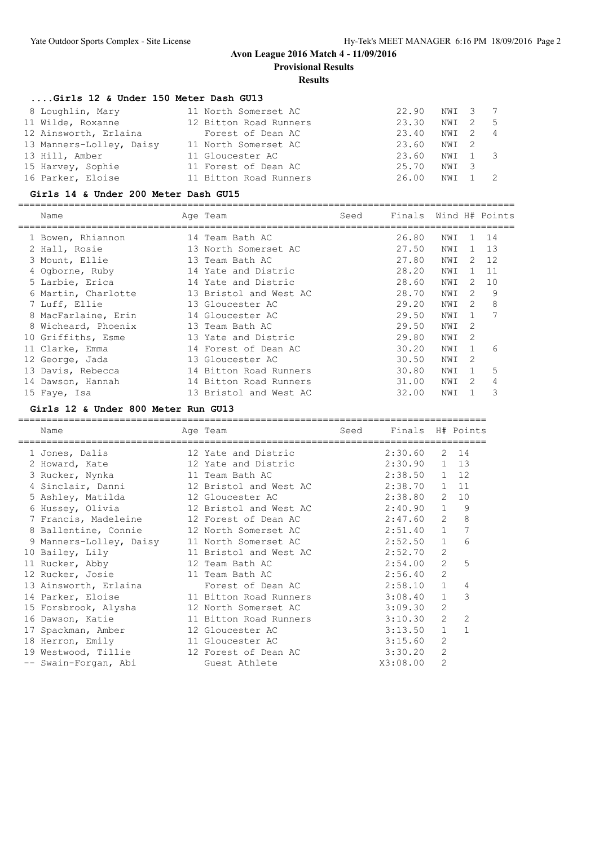**Provisional Results**

## **Results**

#### **....Girls 12 & Under 150 Meter Dash GU13**

| 8 Loughlin, Mary         | 11 North Somerset AC   | 22.90       | NWI 37  |   |
|--------------------------|------------------------|-------------|---------|---|
| 11 Wilde, Roxanne        | 12 Bitton Road Runners | 23.30       | NWI 2   | 5 |
| 12 Ainsworth, Erlaina    | Forest of Dean AC      | 23.40       | NWI 2 4 |   |
| 13 Manners-Lolley, Daisy | 11 North Somerset AC   | 23.60 NWI 2 |         |   |
| 13 Hill, Amber           | 11 Gloucester AC       | 23.60       | NWI 1 3 |   |
| 15 Harvey, Sophie        | 11 Forest of Dean AC   | 25.70       | NWI 3   |   |
| 16 Parker, Eloise        | 11 Bitton Road Runners | 26.00       | NWI 1   |   |

#### **Girls 14 & Under 200 Meter Dash GU15**

| Name                | Age Team               | Seed | Finals Wind H# Points |     |              |              |
|---------------------|------------------------|------|-----------------------|-----|--------------|--------------|
| 1 Bowen, Rhiannon   | 14 Team Bath AC        |      | 26.80                 | NWI |              | 1 14         |
| 2 Hall, Rosie       | 13 North Somerset AC   |      | 27.50                 | NWI |              | $1 \quad 13$ |
| 3 Mount, Ellie      | 13 Team Bath AC        |      | 27.80                 | NWI |              | $2 \quad 12$ |
| 4 Ogborne, Ruby     | 14 Yate and Distric    |      | 28.20                 | NWI | $\mathbf{1}$ | 11           |
| 5 Larbie, Erica     | 14 Yate and Distric    |      | 28.60                 | NWI | 2            | 10           |
| 6 Martin, Charlotte | 13 Bristol and West AC |      | 28.70                 | NWI | 2            | 9            |
| 7 Luff, Ellie       | 13 Gloucester AC       |      | 29.20                 | NWI | 2            | 8            |
| 8 MacFarlaine, Erin | 14 Gloucester AC       |      | 29.50                 | NWI | $\mathbf{1}$ | 7            |
| 8 Wicheard, Phoenix | 13 Team Bath AC        |      | 29.50                 | NWI | 2            |              |
| 10 Griffiths, Esme  | 13 Yate and Distric    |      | 29.80                 | NWI | -2           |              |
| 11 Clarke, Emma     | 14 Forest of Dean AC   |      | 30.20                 | NWI | 1            | 6            |
| 12 George, Jada     | 13 Gloucester AC       |      | 30.50                 | NWI | 2            |              |
| 13 Davis, Rebecca   | 14 Bitton Road Runners |      | 30.80                 | NWI | $\mathbf{1}$ | 5            |
| 14 Dawson, Hannah   | 14 Bitton Road Runners |      | 31.00                 | NWI | 2            | 4            |
| 15 Faye, Isa        | 13 Bristol and West AC |      | 32.00                 | NWI |              | 3            |

#### **Girls 12 & Under 800 Meter Run GU13**

| Name                                         | Age Team               | Seed | Finals H# Points |                |                |
|----------------------------------------------|------------------------|------|------------------|----------------|----------------|
| 1 Jones, Dalis                               | 12 Yate and Distric    |      | 2:30.60          |                | 2 14           |
| 2 Howard, Kate 12 Yate and Distric           |                        |      | 2:30.90          |                | 1 13           |
| 3 Rucker, Nynka                              | 11 Team Bath AC        |      | 2:38.50 1        |                | 12             |
| 4 Sinclair, Danni 12 Bristol and West AC     |                        |      | 2:38.70 1        |                | 11             |
| 5 Ashley, Matilda 12 Gloucester AC           |                        |      | 2:38.80          | 2              | 10             |
| 6 Hussey, Olivia                             | 12 Bristol and West AC |      | 2:40.90          | $\mathbf{1}$   | - 9            |
| 7 Francis, Madeleine 12 Forest of Dean AC    |                        |      | 2:47.60          | $\overline{2}$ | 8              |
| 8 Ballentine, Connie 12 North Somerset AC    |                        |      | 2:51.40          | 1              | 7              |
| 9 Manners-Lolley, Daisy 11 North Somerset AC |                        |      | 2:52.50          | $\mathbf{1}$   | 6              |
| 10 Bailey, Lily                              | 11 Bristol and West AC |      | 2:52.70          | $\overline{2}$ |                |
| 11 Rucker, Abby                              | 12 Team Bath AC        |      | 2:54.00          | $\overline{2}$ | 5              |
| 12 Rucker, Josie 11 Team Bath AC             |                        |      | 2:56.40          | $\overline{2}$ |                |
| 13 Ainsworth, Erlaina                        | Forest of Dean AC      |      | 2:58.10          | $\mathbf{1}$   | 4              |
| 14 Parker, Eloise                            | 11 Bitton Road Runners |      | 3:08.40          | $\mathbf{1}$   | 3              |
| 15 Forsbrook, Alysha 12 North Somerset AC    |                        |      | 3:09.30          | 2              |                |
| 16 Dawson, Katie 11 Bitton Road Runners      |                        |      | 3:10.30          | $\overline{2}$ | $\overline{2}$ |
| 17 Spackman, Amber                           | 12 Gloucester AC       |      | 3:13.50          | $\mathbf 1$    | $\mathbf{1}$   |
| 18 Herron, Emily 11 Gloucester AC            |                        |      | 3:15.60          | $\overline{2}$ |                |
| 19 Westwood, Tillie 12 Forest of Dean AC     |                        |      | 3:30.20          | $\overline{2}$ |                |
| -- Swain-Forgan, Abi                         | Guest Athlete          |      | X3:08.00         | $\overline{2}$ |                |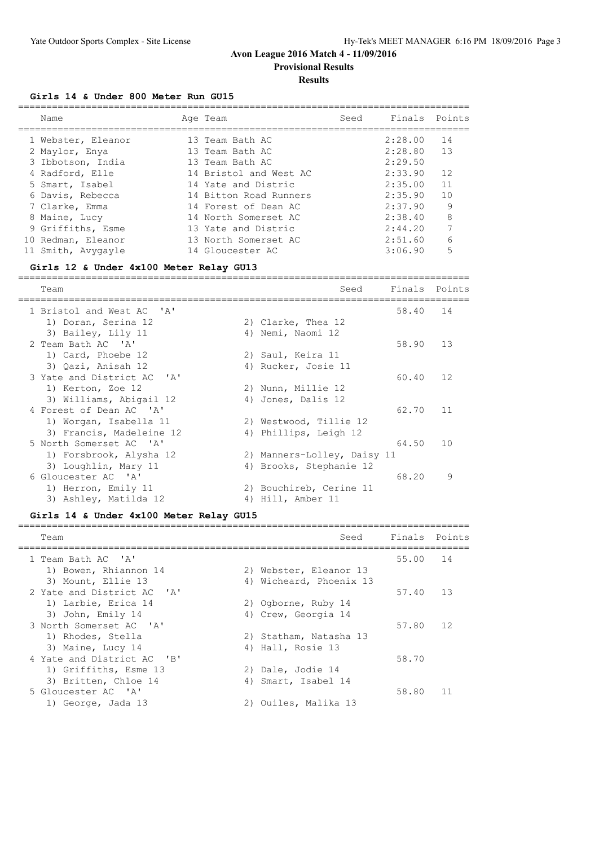**Provisional Results**

#### **Results**

#### **Girls 14 & Under 800 Meter Run GU15**

|    | Name               | Age Team               | Seed | Finals Points |    |
|----|--------------------|------------------------|------|---------------|----|
|    | 1 Webster, Eleanor | 13 Team Bath AC        |      | 2:28.00       | 14 |
|    | 2 Maylor, Enya     | 13 Team Bath AC        |      | 2:28.80       | 13 |
|    | 3 Ibbotson, India  | 13 Team Bath AC        |      | 2:29.50       |    |
|    | 4 Radford, Elle    | 14 Bristol and West AC |      | 2:33.90       | 12 |
|    | 5 Smart, Isabel    | 14 Yate and Distric    |      | 2:35.00       | 11 |
|    | 6 Davis, Rebecca   | 14 Bitton Road Runners |      | 2:35.90       | 10 |
|    | 7 Clarke, Emma     | 14 Forest of Dean AC   |      | 2:37.90       | 9  |
|    | 8 Maine, Lucy      | 14 North Somerset AC   |      | 2:38.40       | 8  |
|    | 9 Griffiths, Esme  | 13 Yate and Distric    |      | 2:44.20       | 7  |
| 10 | Redman, Eleanor    | 13 North Somerset AC   |      | 2:51.60       | 6  |
|    | 11 Smith, Avygayle | 14 Gloucester AC       |      | 3:06.90       | 5  |

#### **Girls 12 & Under 4x100 Meter Relay GU13**

================================================================================

| Team                                              | Finals<br>Seed              |       | Points |
|---------------------------------------------------|-----------------------------|-------|--------|
| 1 Bristol and West AC 'A'                         |                             | 58.40 | 14     |
| 1) Doran, Serina 12<br>2) Clarke, Thea 12         |                             |       |        |
| 3) Bailey, Lily 11<br>4) Nemi, Naomi 12           |                             |       |        |
| 2 Team Bath AC 'A'                                | 58.90                       |       | 13     |
| 1) Card, Phoebe 12<br>2) Saul, Keira 11           |                             |       |        |
| 3) Oazi, Anisah 12<br>4) Rucker, Josie 11         |                             |       |        |
| 3 Yate and District AC 'A'                        | 60.40                       |       | 12     |
| 1) Kerton, Zoe 12<br>2) Nunn, Millie 12           |                             |       |        |
| 3) Williams, Abigail 12<br>4) Jones, Dalis 12     |                             |       |        |
| 4 Forest of Dean AC 'A'                           | 62.70                       |       | 11     |
| 1) Worgan, Isabella 11<br>2) Westwood, Tillie 12  |                             |       |        |
| 3) Francis, Madeleine 12<br>4) Phillips, Leigh 12 |                             |       |        |
| 5 North Somerset AC 'A'                           | 64.50                       |       | 10     |
| 1) Forsbrook, Alysha 12                           | 2) Manners-Lolley, Daisy 11 |       |        |
| 3) Loughlin, Mary 11<br>4) Brooks, Stephanie 12   |                             |       |        |
| 6 Gloucester AC 'A'                               | 68.20                       |       | 9      |
| 1) Herron, Emily 11<br>2) Bouchireb, Cerine 11    |                             |       |        |
| 3) Ashley, Matilda 12<br>Hill, Amber 11<br>4)     |                             |       |        |

#### **Girls 14 & Under 4x100 Meter Relay GU15**

| Team                       |    | Seed                    | Finals Points |    |
|----------------------------|----|-------------------------|---------------|----|
| 1 Team Bath AC 'A'         |    |                         | 55.00         | 14 |
| 1) Bowen, Rhiannon 14      |    | 2) Webster, Eleanor 13  |               |    |
| 3) Mount, Ellie 13         |    | 4) Wicheard, Phoenix 13 |               |    |
| 2 Yate and District AC 'A' |    |                         | 57.40         | 13 |
| 1) Larbie, Erica 14        |    | 2) Ogborne, Ruby 14     |               |    |
| 3) John, Emily 14          |    | 4) Crew, Georgia 14     |               |    |
| 3 North Somerset AC 'A'    |    |                         | 57.80         | 12 |
| 1) Rhodes, Stella          |    | 2) Statham, Natasha 13  |               |    |
| 3) Maine, Lucy 14          |    | 4) Hall, Rosie 13       |               |    |
| 4 Yate and District AC 'B' |    |                         | 58.70         |    |
| 1) Griffiths, Esme 13      |    | 2) Dale, Jodie 14       |               |    |
| 3) Britten, Chloe 14       | 4) | Smart, Isabel 14        |               |    |
| 5 Gloucester AC 'A'        |    |                         | 58.80         | 11 |
| 1) George, Jada 13         |    | Ouiles, Malika 13       |               |    |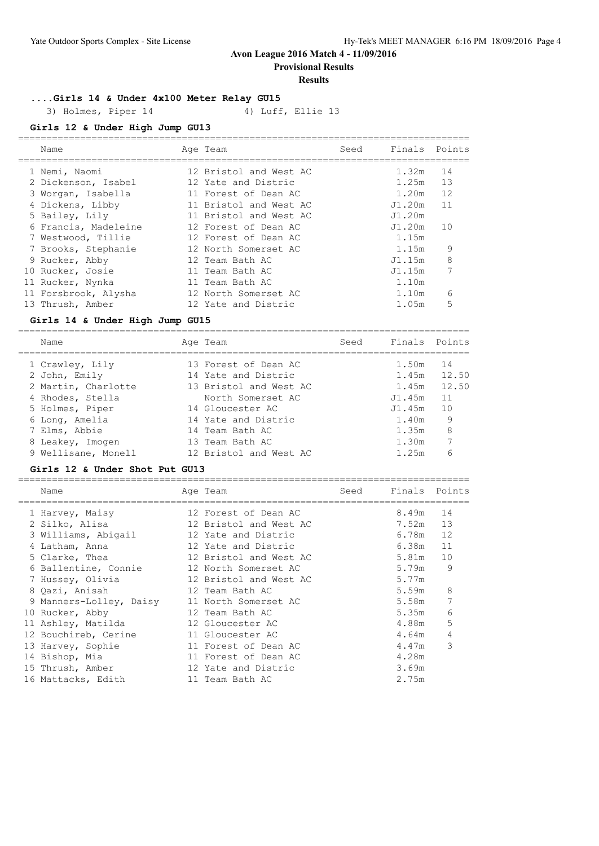**Provisional Results**

#### **Results**

**....Girls 14 & Under 4x100 Meter Relay GU15**

3) Holmes, Piper 14 4) Luff, Ellie 13

**Girls 12 & Under High Jump GU13**

| Name                 | Age Team               | Seed | Finals Points |    |
|----------------------|------------------------|------|---------------|----|
| 1 Nemi, Naomi        | 12 Bristol and West AC |      | 1.32m         | 14 |
| 2 Dickenson, Isabel  | 12 Yate and Distric    |      | 1.25m         | 13 |
| 3 Worgan, Isabella   | 11 Forest of Dean AC   |      | 1.20m         | 12 |
| 4 Dickens, Libby     | 11 Bristol and West AC |      | J1.20m        | 11 |
| 5 Bailey, Lily       | 11 Bristol and West AC |      | J1.20m        |    |
| 6 Francis, Madeleine | 12 Forest of Dean AC   |      | J1.20m        | 10 |
| 7 Westwood, Tillie   | 12 Forest of Dean AC   |      | 1.15m         |    |
| 7 Brooks, Stephanie  | 12 North Somerset AC   |      | 1.15m         | 9  |
| 9 Rucker, Abby       | 12 Team Bath AC        |      | J1.15m        | 8  |
| 10 Rucker, Josie     | 11 Team Bath AC        |      | J1.15m        |    |
| 11 Rucker, Nynka     | 11 Team Bath AC        |      | 1.10m         |    |
| 11 Forsbrook, Alysha | 12 North Somerset AC   |      | 1.10m         | 6  |
| 13 Thrush, Amber     | 12 Yate and Distric    |      | 1.05m         | 5  |
|                      |                        |      |               |    |

#### **Girls 14 & Under High Jump GU15**

| Name                | Age Team               | Seed | Finals Points |       |
|---------------------|------------------------|------|---------------|-------|
| 1 Crawley, Lily     | 13 Forest of Dean AC   |      | 1.50m         | 14    |
| 2 John, Emily       | 14 Yate and Distric    |      | 1.45m         | 12.50 |
| 2 Martin, Charlotte | 13 Bristol and West AC |      | 1.45m         | 12.50 |
| 4 Rhodes, Stella    | North Somerset AC      |      | J1.45m        | 11    |
| 5 Holmes, Piper     | 14 Gloucester AC       |      | J1.45m        | 10    |
| 6 Long, Amelia      | 14 Yate and Distric    |      | 1.40m         | 9     |
| 7 Elms, Abbie       | 14 Team Bath AC        |      | 1.35m         | 8     |
| 8 Leakey, Imogen    | 13 Team Bath AC        |      | 1.30m         |       |
| 9 Wellisane, Monell | 12 Bristol and West AC |      | 1.25m         | 6     |

#### **Girls 12 & Under Shot Put GU13**

| Name                    | Age Team               | Seed | Finals | Points |
|-------------------------|------------------------|------|--------|--------|
| 1 Harvey, Maisy         | 12 Forest of Dean AC   |      | 8.49m  | 14     |
| 2 Silko, Alisa          | 12 Bristol and West AC |      | 7.52m  | 13     |
| 3 Williams, Abigail     | 12 Yate and Distric    |      | 6.78m  | 12     |
| 4 Latham, Anna          | 12 Yate and Distric    |      | 6.38m  | 11     |
| 5 Clarke, Thea          | 12 Bristol and West AC |      | 5.81m  | 10     |
| 6 Ballentine, Connie    | 12 North Somerset AC   |      | 5.79m  | 9      |
| 7 Hussey, Olivia        | 12 Bristol and West AC |      | 5.77m  |        |
| 8 Qazi, Anisah          | 12 Team Bath AC        |      | 5.59m  | 8      |
| 9 Manners-Lolley, Daisy | 11 North Somerset AC   |      | 5.58m  |        |
| 10 Rucker, Abby         | 12 Team Bath AC        |      | 5.35m  | 6      |
| 11 Ashley, Matilda      | 12 Gloucester AC       |      | 4.88m  | 5      |
| 12 Bouchireb, Cerine    | 11 Gloucester AC       |      | 4.64m  | 4      |
| 13 Harvey, Sophie       | 11 Forest of Dean AC   |      | 4.47m  | 3      |
| 14 Bishop, Mia          | 11 Forest of Dean AC   |      | 4.28m  |        |
| 15 Thrush, Amber        | 12 Yate and Distric    |      | 3.69m  |        |
| 16 Mattacks, Edith      | 11 Team Bath AC        |      | 2.75m  |        |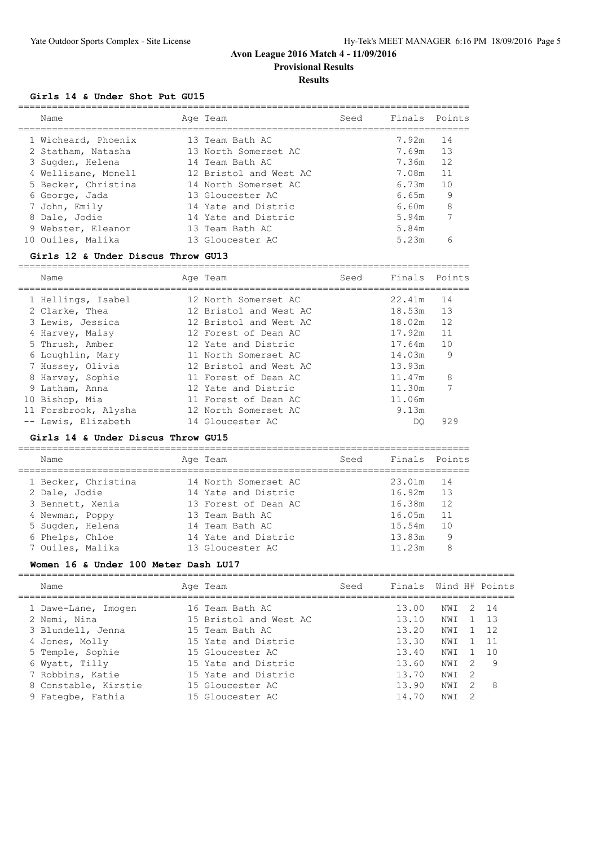# **Avon League 2016 Match 4 - 11/09/2016 Provisional Results**

# **Results**

## **Girls 14 & Under Shot Put GU15**

| Name                                    | Age Team                                       | Seed | Finals Points  |          |
|-----------------------------------------|------------------------------------------------|------|----------------|----------|
| 1 Wicheard, Phoenix                     | 13 Team Bath AC<br>13 North Somerset AC        |      | 7.92m<br>7.69m | 14<br>13 |
| 2 Statham, Natasha<br>3 Sugden, Helena  | 14 Team Bath AC                                |      | 7.36m          | 12       |
| 4 Wellisane, Monell                     | 12 Bristol and West AC<br>14 North Somerset AC |      | 7.08m<br>6.73m | 11<br>10 |
| 5 Becker, Christina<br>6 George, Jada   | 13 Gloucester AC                               |      | 6.65m          | 9        |
| 7 John, Emily                           | 14 Yate and Distric                            |      | 6.60m          | 8        |
| 8 Dale, Jodie                           | 14 Yate and Distric                            |      | 5.94m          | 7        |
| 9 Webster, Eleanor<br>10 Ouiles, Malika | 13 Team Bath AC<br>13 Gloucester AC            |      | 5.84m<br>5.23m | ี        |
|                                         |                                                |      |                |          |

#### **Girls 12 & Under Discus Throw GU13**

| Name                 | Age Team               | Seed | Finals Points |     |
|----------------------|------------------------|------|---------------|-----|
| 1 Hellings, Isabel   | 12 North Somerset AC   |      | 22.41m        | 14  |
| 2 Clarke, Thea       | 12 Bristol and West AC |      | 18.53m        | 13  |
| 3 Lewis, Jessica     | 12 Bristol and West AC |      | 18.02m        | 12  |
| 4 Harvey, Maisy      | 12 Forest of Dean AC   |      | 17.92m        | 11  |
| 5 Thrush, Amber      | 12 Yate and Distric    |      | 17.64m        | 10  |
| 6 Loughlin, Mary     | 11 North Somerset AC   |      | 14.03m        | 9   |
| 7 Hussey, Olivia     | 12 Bristol and West AC |      | 13.93m        |     |
| 8 Harvey, Sophie     | 11 Forest of Dean AC   |      | 11.47m        | 8   |
| 9 Latham, Anna       | 12 Yate and Distric    |      | 11.30m        |     |
| 10 Bishop, Mia       | 11 Forest of Dean AC   |      | 11.06m        |     |
| 11 Forsbrook, Alysha | 12 North Somerset AC   |      | 9.13m         |     |
| -- Lewis, Elizabeth  | 14 Gloucester AC       |      | DO.           | 929 |

#### **Girls 14 & Under Discus Throw GU15**

================================================================================ Name Age Team Seed Finals Points

| Name                | Ade leall            | beeu | FINAIS FOINUS |     |
|---------------------|----------------------|------|---------------|-----|
| 1 Becker, Christina | 14 North Somerset AC |      | 23.01m 14     |     |
| 2 Dale, Jodie       | 14 Yate and Distric  |      | 16.92m        | 13  |
| 3 Bennett, Xenia    | 13 Forest of Dean AC |      | 16.38m        | 12  |
| 4 Newman, Poppy     | 13 Team Bath AC      |      | 16.05m        | -11 |
| 5 Sugden, Helena    | 14 Team Bath AC      |      | 15.54m        | 10  |
| 6 Phelps, Chloe     | 14 Yate and Distric  |      | 13.83m        | 9   |
| 7 Ouiles, Malika    | 13 Gloucester AC     |      | 11.23m        | 8   |
|                     |                      |      |               |     |

#### **Women 16 & Under 100 Meter Dash LU17**

| Name                 | Age Team               | Seed | Finals Wind H# Points |      |    |       |
|----------------------|------------------------|------|-----------------------|------|----|-------|
| 1 Dawe-Lane, Imogen  | 16 Team Bath AC        |      | 13.00                 | NWT  |    | 2 14  |
| 2 Nemi, Nina         | 15 Bristol and West AC |      | 13.10                 | NWI  |    | - 1.3 |
| 3 Blundell, Jenna    | 15 Team Bath AC        |      | 13.20                 | NWI  |    | 12    |
| 4 Jones, Molly       | 15 Yate and Distric    |      | 13.30                 | NWI  |    | 11    |
| 5 Temple, Sophie     | 15 Gloucester AC       |      | 13.40                 | NWI  |    | 10    |
| 6 Wyatt, Tilly       | 15 Yate and Distric    |      | 13.60                 | NW T | -2 | -9    |
| 7 Robbins, Katie     | 15 Yate and Distric    |      | 13.70                 | NWI  | -2 |       |
| 8 Constable, Kirstie | 15 Gloucester AC       |      | 13.90                 | NWI  | 2  | -8    |
| 9 Fategbe, Fathia    | 15 Gloucester AC       |      | 14.70                 | NW I |    |       |
|                      |                        |      |                       |      |    |       |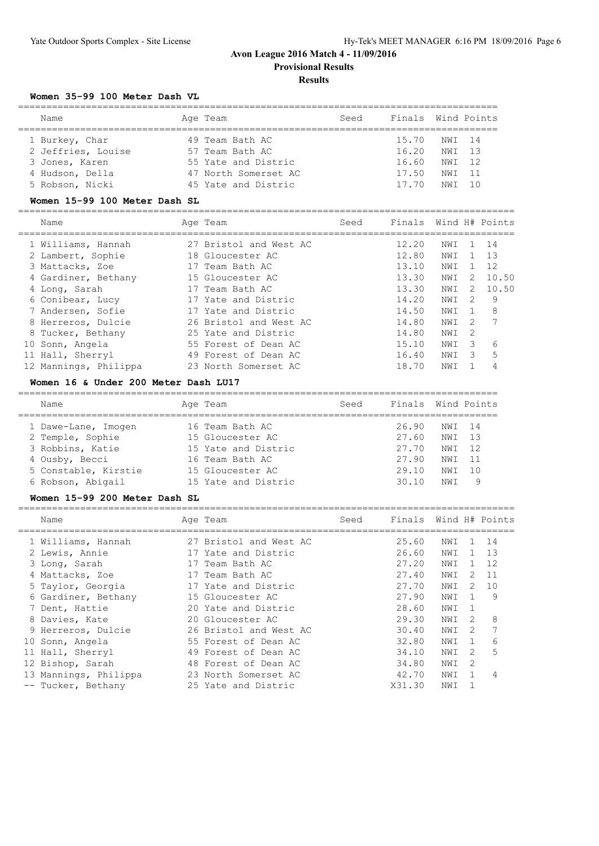**Provisional Results**

# **Results**

#### **Women 35-99 100 Meter Dash VL**

| Name               | Age Team             | Seed | Finals Wind Points |        |  |
|--------------------|----------------------|------|--------------------|--------|--|
| 1 Burkey, Char     | 49 Team Bath AC      |      | 15.70              | NWI 14 |  |
| 2 Jeffries, Louise | 57 Team Bath AC      |      | 16.20              | NWI 13 |  |
| 3 Jones, Karen     | 55 Yate and Distric  |      | 16.60              | NWI 12 |  |
| 4 Hudson, Della    | 47 North Somerset AC |      | 17.50              | NWI 11 |  |
| 5 Robson, Nicki    | 45 Yate and Distric  |      | 17.70              | NM T   |  |

#### **Women 15-99 100 Meter Dash SL**

| Name         |                                                                                                                                                                                                                                           | Seed                                                                                                                                                                                                                                                                                    | Finals                                                                        |                                                             |                                                           |                                             |
|--------------|-------------------------------------------------------------------------------------------------------------------------------------------------------------------------------------------------------------------------------------------|-----------------------------------------------------------------------------------------------------------------------------------------------------------------------------------------------------------------------------------------------------------------------------------------|-------------------------------------------------------------------------------|-------------------------------------------------------------|-----------------------------------------------------------|---------------------------------------------|
|              |                                                                                                                                                                                                                                           |                                                                                                                                                                                                                                                                                         | 12.20<br>12.80<br>13.10<br>13.30<br>13.30<br>14.20<br>14.50<br>14.80<br>14.80 | NWI<br>NWI<br>NWI<br>NWI<br>NWI<br>NWI<br>NWI<br>NWI<br>NWI | 2<br>2<br>$\mathcal{P}$<br>$\mathcal{L}$<br>$\mathcal{L}$ | 14<br>-13<br>12<br>10.50<br>10.50<br>9<br>8 |
| Sonn, Angela |                                                                                                                                                                                                                                           |                                                                                                                                                                                                                                                                                         | 15.10<br>16.40<br>18.70                                                       | NWI<br>NWI<br>NWI                                           | 3<br>3                                                    | 6<br>5<br>4                                 |
|              | 1 Williams, Hannah<br>2 Lambert, Sophie<br>3 Mattacks, Zoe<br>4 Gardiner, Bethany<br>4 Long, Sarah<br>6 Conibear, Lucy<br>7 Andersen, Sofie<br>8 Herreros, Dulcie<br>8 Tucker, Bethany<br>10<br>11 Hall, Sherryl<br>12 Mannings, Philippa | Age Team<br>27 Bristol and West AC<br>18 Gloucester AC<br>17 Team Bath AC<br>15 Gloucester AC<br>17 Team Bath AC<br>17 Yate and Distric<br>17 Yate and Distric<br>26 Bristol and West AC<br>25 Yate and Distric<br>55 Forest of Dean AC<br>49 Forest of Dean AC<br>23 North Somerset AC |                                                                               |                                                             |                                                           | Wind H# Points                              |

#### **Women 16 & Under 200 Meter Dash LU17**

| Name                 | Age Team            | Seed | Finals Wind Points |                 |     |
|----------------------|---------------------|------|--------------------|-----------------|-----|
| 1 Dawe-Lane, Imogen  | 16 Team Bath AC     |      | 26.90              | NWI 14          |     |
| 2 Temple, Sophie     | 15 Gloucester AC    |      | 27.60              | NWI             | 13  |
| 3 Robbins, Katie     | 15 Yate and Distric |      | 27.70              | NWI             | 12  |
| 4 Ousby, Becci       | 16 Team Bath AC     |      | 27.90              | NWI             | 11  |
| 5 Constable, Kirstie | 15 Gloucester AC    |      | 29.10              | NW <sub>T</sub> | 1 N |
| 6 Robson, Abigail    | 15 Yate and Distric |      | 30.10              | NM T            | 9   |

#### **Women 15-99 200 Meter Dash SL**

| Name                  | Age Team               | Seed | Finals Wind H# Points |     |               |     |
|-----------------------|------------------------|------|-----------------------|-----|---------------|-----|
| 1 Williams, Hannah    | 27 Bristol and West AC |      | 25.60                 | NWI | ı.            | 14  |
| 2 Lewis, Annie        | 17 Yate and Distric    |      | 26.60                 | NWI | 1.            | 13  |
| 3 Long, Sarah         | 17 Team Bath AC        |      | 27.20                 | NWI | 1.            | 12  |
| 4 Mattacks, Zoe       | 17 Team Bath AC        |      | 27.40                 | NWI | $\mathcal{L}$ | -11 |
| 5 Taylor, Georgia     | 17 Yate and Distric    |      | 27.70                 | NWI | $\mathcal{L}$ | 10  |
| 6 Gardiner, Bethany   | 15 Gloucester AC       |      | 27.90                 | NWI |               | 9   |
| 7 Dent, Hattie        | 20 Yate and Distric    |      | 28.60                 | NWI | 1             |     |
| 8 Davies, Kate        | 20 Gloucester AC       |      | 29.30                 | NWI | $\mathcal{L}$ | 8   |
| 9 Herreros, Dulcie    | 26 Bristol and West AC |      | 30.40                 | NWI | $\mathcal{P}$ | 7   |
| 10 Sonn, Angela       | 55 Forest of Dean AC   |      | 32.80                 | NWI | $\mathbf{1}$  | 6   |
| 11 Hall, Sherryl      | 49 Forest of Dean AC   |      | 34.10                 | NWI | $\mathcal{L}$ | 5   |
| 12 Bishop, Sarah      | 48 Forest of Dean AC   |      | 34.80                 | NWI | $\mathcal{L}$ |     |
| 13 Mannings, Philippa | 23 North Somerset AC   |      | 42.70                 | NWI |               |     |
| -- Tucker, Bethany    | 25 Yate and Distric    |      | X31.30                | NWI |               |     |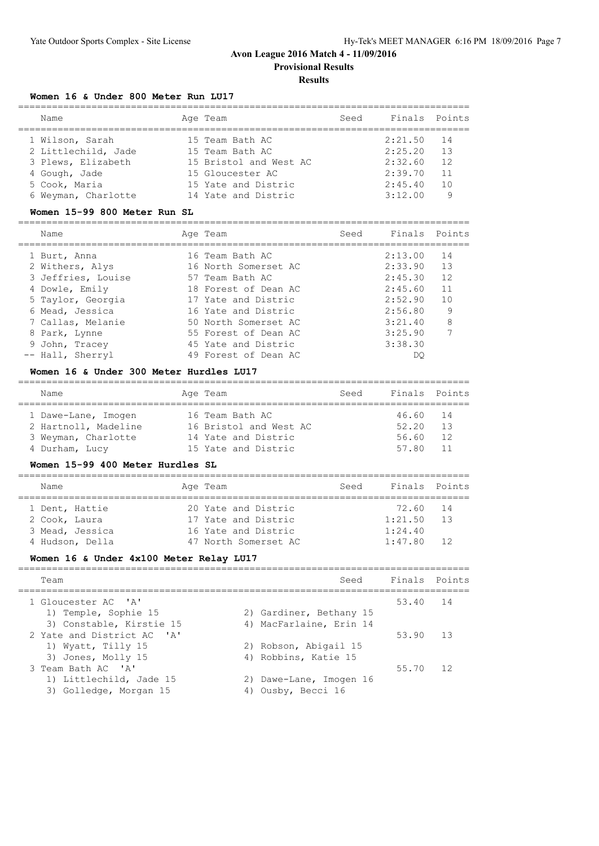**Provisional Results**

#### **Results**

#### **Women 16 & Under 800 Meter Run LU17**

| Name                | Age Team               | Seed | Finals Points |     |
|---------------------|------------------------|------|---------------|-----|
| 1 Wilson, Sarah     | 15 Team Bath AC        |      | 2:21.50       | -14 |
| 2 Littlechild, Jade | 15 Team Bath AC        |      | 2:25.20       | 13  |
| 3 Plews, Elizabeth  | 15 Bristol and West AC |      | 2:32.60       | 12  |
| 4 Gough, Jade       | 15 Gloucester AC       |      | 2:39.70       | 11  |
| 5 Cook, Maria       | 15 Yate and Distric    |      | 2:45.40       | 10  |
| 6 Weyman, Charlotte | 14 Yate and Distric    |      | 3:12.00       |     |
|                     |                        |      |               |     |

#### **Women 15-99 800 Meter Run SL**

| Name |                                                                                                                                                                                             | Seed                                                                                                                                                                                                                                        |         |                                                                      |
|------|---------------------------------------------------------------------------------------------------------------------------------------------------------------------------------------------|---------------------------------------------------------------------------------------------------------------------------------------------------------------------------------------------------------------------------------------------|---------|----------------------------------------------------------------------|
|      |                                                                                                                                                                                             |                                                                                                                                                                                                                                             |         | 14                                                                   |
|      |                                                                                                                                                                                             |                                                                                                                                                                                                                                             |         | 13                                                                   |
|      |                                                                                                                                                                                             |                                                                                                                                                                                                                                             |         | 12                                                                   |
|      |                                                                                                                                                                                             |                                                                                                                                                                                                                                             | 2:45.60 | 11                                                                   |
|      |                                                                                                                                                                                             |                                                                                                                                                                                                                                             |         | 10                                                                   |
|      |                                                                                                                                                                                             |                                                                                                                                                                                                                                             |         | 9                                                                    |
|      |                                                                                                                                                                                             |                                                                                                                                                                                                                                             | 3:21.40 | 8                                                                    |
|      |                                                                                                                                                                                             |                                                                                                                                                                                                                                             | 3:25.90 | $\overline{7}$                                                       |
|      |                                                                                                                                                                                             |                                                                                                                                                                                                                                             | 3:38.30 |                                                                      |
|      |                                                                                                                                                                                             |                                                                                                                                                                                                                                             | DO      |                                                                      |
|      | 1 Burt, Anna<br>2 Withers, Alys<br>3 Jeffries, Louise<br>4 Dowle, Emily<br>5 Taylor, Georgia<br>6 Mead, Jessica<br>7 Callas, Melanie<br>8 Park, Lynne<br>9 John, Tracey<br>-- Hall, Sherryl | Age Team<br>16 Team Bath AC<br>16 North Somerset AC<br>57 Team Bath AC<br>18 Forest of Dean AC<br>17 Yate and Distric<br>16 Yate and Distric<br>50 North Somerset AC<br>55 Forest of Dean AC<br>45 Yate and Distric<br>49 Forest of Dean AC |         | Finals Points<br>2:13.00<br>2:33.90<br>2:45.30<br>2:52.90<br>2:56.80 |

#### **Women 16 & Under 300 Meter Hurdles LU17**

| Name                 |  | Age Team               | Seed | Finals Points |    |  |  |  |  |  |  |
|----------------------|--|------------------------|------|---------------|----|--|--|--|--|--|--|
| 1 Dawe-Lane, Imogen  |  | 16 Team Bath AC        |      | 46.60 14      |    |  |  |  |  |  |  |
| 2 Hartnoll, Madeline |  | 16 Bristol and West AC |      | 52.20         | 13 |  |  |  |  |  |  |
| 3 Weyman, Charlotte  |  | 14 Yate and Distric    |      | 56.60         | 12 |  |  |  |  |  |  |
| 4 Durham, Lucy       |  | 15 Yate and Distric    |      | 57.80 11      |    |  |  |  |  |  |  |

#### **Women 15-99 400 Meter Hurdles SL**

| Name            |  | Age Team             | Seed | Finals Points |    |  |  |  |  |  |  |
|-----------------|--|----------------------|------|---------------|----|--|--|--|--|--|--|
|                 |  |                      |      |               |    |  |  |  |  |  |  |
| 1 Dent, Hattie  |  | 20 Yate and Distric  |      | 72.60 14      |    |  |  |  |  |  |  |
| 2 Cook, Laura   |  | 17 Yate and Distric  |      | 1:21.50       | 13 |  |  |  |  |  |  |
| 3 Mead, Jessica |  | 16 Yate and Distric  |      | 1:24.40       |    |  |  |  |  |  |  |
| 4 Hudson, Della |  | 47 North Somerset AC |      | 1:47.80       | 12 |  |  |  |  |  |  |

## **Women 16 & Under 4x100 Meter Relay LU17**

| Seed<br>Team                                                              | Finals Points |    |
|---------------------------------------------------------------------------|---------------|----|
| 1 Gloucester AC 'A'<br>1) Temple, Sophie 15<br>2) Gardiner, Bethany 15    | 53.40 14      |    |
| 4) MacFarlaine, Erin 14<br>3) Constable, Kirstie 15                       |               |    |
| 2 Yate and District AC 'A'<br>1) Wyatt, Tilly 15<br>2) Robson, Abigail 15 | 53.90 13      |    |
| 4) Robbins, Katie 15<br>3) Jones, Molly 15                                |               |    |
| 3 Team Bath AC 'A'<br>1) Littlechild, Jade 15<br>2) Dawe-Lane, Imogen 16  | 55.70         | 12 |
| Ousby, Becci 16<br>3) Golledge, Morgan 15<br>4)                           |               |    |
|                                                                           |               |    |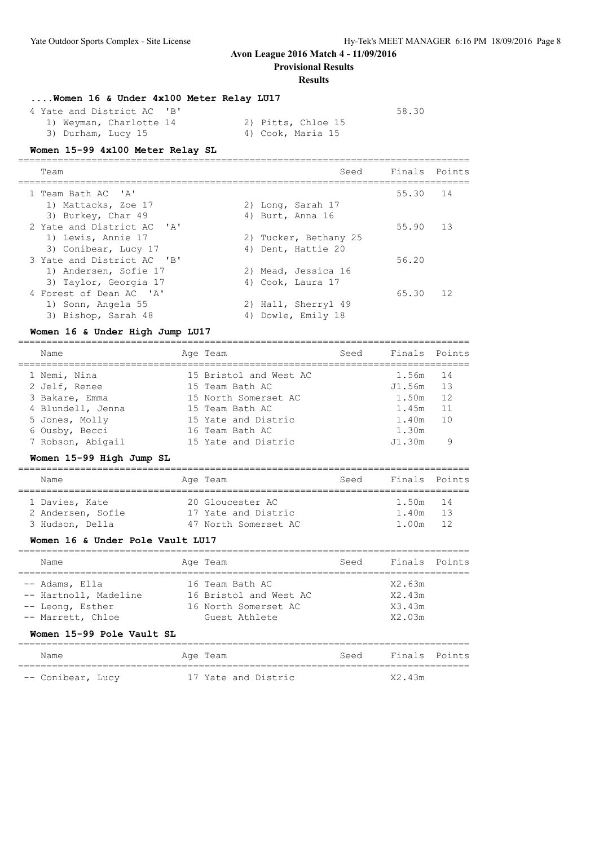# **Avon League 2016 Match 4 - 11/09/2016 Provisional Results**

**Results**

| Women 16 & Under 4x100 Meter Relay LU17 |  |  |  |  |
|-----------------------------------------|--|--|--|--|

| 4 Yate and District AC 'B' |                    | 58.30 |
|----------------------------|--------------------|-------|
| 1) Weyman, Charlotte 14    | 2) Pitts, Chloe 15 |       |
| 3) Durham, Lucy 15         | 4) Cook, Maria 15  |       |

## **Women 15-99 4x100 Meter Relay SL**

| Team                                                                 |    | Seed                                     | Finals Points |    |
|----------------------------------------------------------------------|----|------------------------------------------|---------------|----|
| 1 Team Bath AC 'A'<br>1) Mattacks, Zoe 17                            |    |                                          | 55.30         | 14 |
| 3) Burkey, Char 49                                                   |    | 2) Long, Sarah 17<br>4) Burt, Anna 16    |               |    |
| 2 Yate and District AC 'A'<br>1) Lewis, Annie 17                     |    | 2) Tucker, Bethany 25                    | 55.90         | 13 |
| 3) Conibear, Lucy 17<br>3 Yate and District AC 'B'                   |    | 4) Dent, Hattie 20                       | 56.20         |    |
| 1) Andersen, Sofie 17<br>3) Taylor, Georgia 17                       |    | 2) Mead, Jessica 16<br>4) Cook, Laura 17 |               |    |
| 4 Forest of Dean AC 'A'<br>1) Sonn, Angela 55<br>3) Bishop, Sarah 48 | 4) | 2) Hall, Sherryl 49<br>Dowle, Emily 18   | 65.30         | 12 |
|                                                                      |    |                                          |               |    |

#### **Women 16 & Under High Jump LU17**

| Name              | Age Team               | Seed | Finals Points |    |
|-------------------|------------------------|------|---------------|----|
| 1 Nemi, Nina      | 15 Bristol and West AC |      | 1.56m 14      |    |
| 2 Jelf, Renee     | 15 Team Bath AC        |      | J1.56m        | 13 |
| 3 Bakare, Emma    | 15 North Somerset AC   |      | 1.50m         | 12 |
| 4 Blundell, Jenna | 15 Team Bath AC        |      | 1.45m         | 11 |
| 5 Jones, Molly    | 15 Yate and Distric    |      | 1.40m         | 10 |
| 6 Ousby, Becci    | 16 Team Bath AC        |      | 1.30m         |    |
| 7 Robson, Abigail | 15 Yate and Distric    |      | J1.30m        | 9  |
|                   |                        |      |               |    |

================================================================================

#### **Women 15-99 High Jump SL**

| Name              |  | Age Team             | Seed | Finals Points |  |  |  |  |  |  |  |
|-------------------|--|----------------------|------|---------------|--|--|--|--|--|--|--|
| 1 Davies, Kate    |  | 20 Gloucester AC     |      | 1.50m 14      |  |  |  |  |  |  |  |
| 2 Andersen, Sofie |  | 17 Yate and Distric  |      | 1.40m 13      |  |  |  |  |  |  |  |
| 3 Hudson, Della   |  | 47 North Somerset AC |      | 1.00m 12      |  |  |  |  |  |  |  |

#### **Women 16 & Under Pole Vault LU17**

| Name                                                                             |  | Age Team                                                                           | Seed | Finals Points                        |  |  |  |  |  |  |
|----------------------------------------------------------------------------------|--|------------------------------------------------------------------------------------|------|--------------------------------------|--|--|--|--|--|--|
| -- Adams, Ella<br>-- Hartnoll, Madeline<br>-- Leong, Esther<br>-- Marrett, Chloe |  | 16 Team Bath AC<br>16 Bristol and West AC<br>16 North Somerset AC<br>Guest Athlete |      | X2.63m<br>X2.43m<br>X3.43m<br>X2.03m |  |  |  |  |  |  |

## **Women 15-99 Pole Vault SL**

| Name              |  | Age Team |                     | Seed | Finals Points |  |
|-------------------|--|----------|---------------------|------|---------------|--|
| -- Conibear, Lucy |  |          | 17 Yate and Distric |      | X2.43m        |  |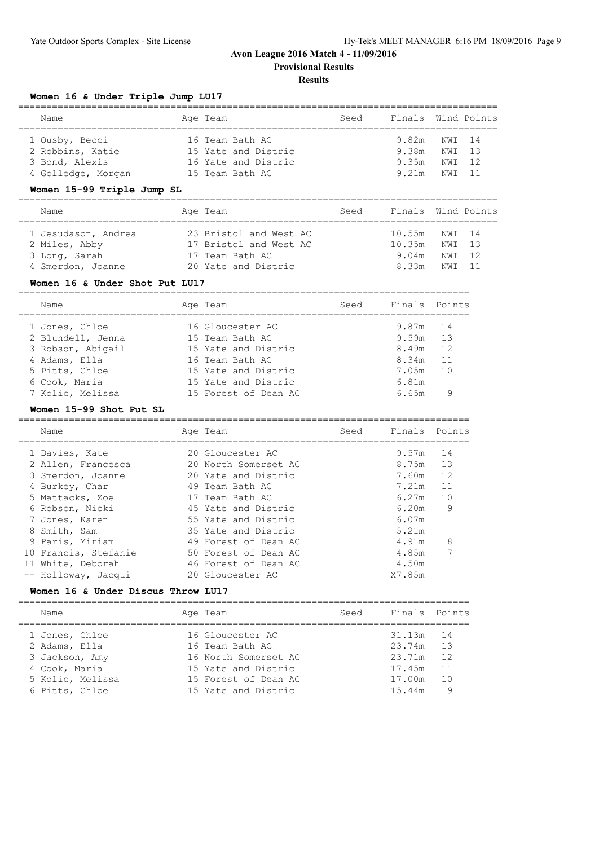**Provisional Results**

================================================================================

#### **Results**

# **Women 16 & Under Triple Jump LU17**

| Name |                                                                            | Seed                                                                                         |       |        |                                    |
|------|----------------------------------------------------------------------------|----------------------------------------------------------------------------------------------|-------|--------|------------------------------------|
|      |                                                                            |                                                                                              |       |        |                                    |
|      |                                                                            |                                                                                              | 9.38m | NWI 13 |                                    |
|      |                                                                            |                                                                                              | 9.35m | NWI 12 |                                    |
|      |                                                                            |                                                                                              | 9.21m | NWI 11 |                                    |
|      | 1 Ousby, Becci<br>2 Robbins, Katie<br>3 Bond, Alexis<br>4 Golledge, Morgan | Age Team<br>16 Team Bath AC<br>15 Yate and Distric<br>16 Yate and Distric<br>15 Team Bath AC |       |        | Finals Wind Points<br>9.82m NWI 14 |

# **Women 15-99 Triple Jump SL**

| Name                                 | Age Team                                         | Seed | Finals Wind Points |                  |  |
|--------------------------------------|--------------------------------------------------|------|--------------------|------------------|--|
| 1 Jesudason, Andrea<br>2 Miles, Abby | 23 Bristol and West AC<br>17 Bristol and West AC |      | 10.55m<br>10.35m   | NWI 14<br>NWI 13 |  |
| 3 Long, Sarah                        | 17 Team Bath AC                                  |      | 9.04m              | NWI 12           |  |
| 4 Smerdon, Joanne                    | 20 Yate and Distric                              |      | 8.33m              | NWT 11           |  |

#### **Women 16 & Under Shot Put LU17**

| Name              | Age Team             | Seed | Finals Points |    |
|-------------------|----------------------|------|---------------|----|
| 1 Jones, Chloe    | 16 Gloucester AC     |      | 9.87m 14      |    |
| 2 Blundell, Jenna | 15 Team Bath AC      |      | $9.59m$ 13    |    |
| 3 Robson, Abigail | 15 Yate and Distric  |      | 8.49m         | 12 |
| 4 Adams, Ella     | 16 Team Bath AC      |      | 8.34m         | 11 |
| 5 Pitts, Chloe    | 15 Yate and Distric  |      | 7.05m         | 10 |
| 6 Cook, Maria     | 15 Yate and Distric  |      | 6.81m         |    |
| 7 Kolic, Melissa  | 15 Forest of Dean AC |      | 6.65m         | 9  |
|                   |                      |      |               |    |

## **Women 15-99 Shot Put SL**

| Name                 | Age Team             | Seed | Finals Points |    |
|----------------------|----------------------|------|---------------|----|
| 1 Davies, Kate       | 20 Gloucester AC     |      | 9.57m         | 14 |
| 2 Allen, Francesca   | 20 North Somerset AC |      | 8.75m         | 13 |
| 3 Smerdon, Joanne    | 20 Yate and Distric  |      | 7.60m         | 12 |
| 4 Burkey, Char       | 49 Team Bath AC      |      | 7.21m         | 11 |
| 5 Mattacks, Zoe      | 17 Team Bath AC      |      | 6.27m         | 10 |
| 6 Robson, Nicki      | 45 Yate and Distric  |      | 6.20m         | 9  |
| 7 Jones, Karen       | 55 Yate and Distric  |      | 6.07m         |    |
| 8 Smith, Sam         | 35 Yate and Distric  |      | 5.21m         |    |
| 9 Paris, Miriam      | 49 Forest of Dean AC |      | 4.91m         | 8  |
| 10 Francis, Stefanie | 50 Forest of Dean AC |      | 4.85m         |    |
| 11 White, Deborah    | 46 Forest of Dean AC |      | 4.50m         |    |
| -- Holloway, Jacqui  | 20 Gloucester AC     |      | X7.85m        |    |

## **Women 16 & Under Discus Throw LU17**

| Name             | Age Team             | Seed | Finals Points |    |
|------------------|----------------------|------|---------------|----|
| 1 Jones, Chloe   | 16 Gloucester AC     |      | 31.13m        | 14 |
| 2 Adams, Ella    | 16 Team Bath AC      |      | 23.74m        | 13 |
| 3 Jackson, Amy   | 16 North Somerset AC |      | 23.71m        | 12 |
| 4 Cook, Maria    | 15 Yate and Distric  |      | 17.45m        | 11 |
| 5 Kolic, Melissa | 15 Forest of Dean AC |      | 17.00m        | 10 |
| 6 Pitts, Chloe   | 15 Yate and Distric  |      | 15.44m        | 9  |
|                  |                      |      |               |    |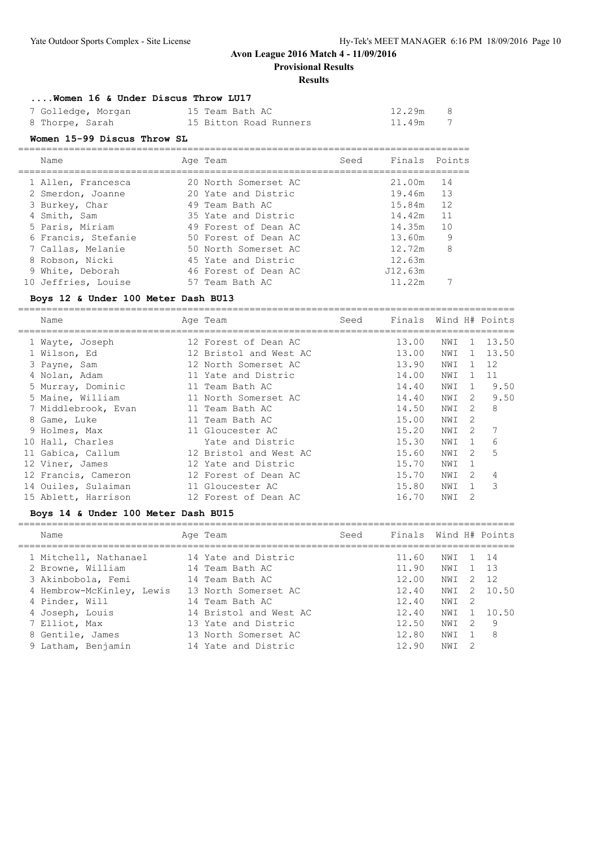=============================

# **Avon League 2016 Match 4 - 11/09/2016**

**Provisional Results**

#### **Results**

#### **....Women 16 & Under Discus Throw LU17**

| 7 Golledge, Morgan | 15 Team Bath AC        | 12.29m | - 8 |
|--------------------|------------------------|--------|-----|
| 8 Thorpe, Sarah    | 15 Bitton Road Runners | 11.49m |     |

#### **Women 15-99 Discus Throw SL**

| Name                | Age Team             | Seed | Finals Points |    |
|---------------------|----------------------|------|---------------|----|
| 1 Allen, Francesca  | 20 North Somerset AC |      | 21.00m        | 14 |
| 2 Smerdon, Joanne   | 20 Yate and Distric  |      | 19.46m 13     |    |
| 3 Burkey, Char      | 49 Team Bath AC      |      | 15.84m        | 12 |
| 4 Smith, Sam        | 35 Yate and Distric  |      | 14.42m        | 11 |
| 5 Paris, Miriam     | 49 Forest of Dean AC |      | 14.35m        | 10 |
| 6 Francis, Stefanie | 50 Forest of Dean AC |      | 13.60m        | 9  |
| 7 Callas, Melanie   | 50 North Somerset AC |      | 12.72m        | 8  |
| 8 Robson, Nicki     | 45 Yate and Distric  |      | 12.63m        |    |
| 9 White, Deborah    | 46 Forest of Dean AC |      | J12.63m       |    |
| 10 Jeffries, Louise | 57 Team Bath AC      |      | 11.22m        |    |

#### **Boys 12 & Under 100 Meter Dash BU13**

| Name                | Age Team               | Seed | Finals Wind H# Points |     |               |       |
|---------------------|------------------------|------|-----------------------|-----|---------------|-------|
| 1 Wayte, Joseph     | 12 Forest of Dean AC   |      | 13.00                 | NWI | 1.            | 13.50 |
| 1 Wilson, Ed        | 12 Bristol and West AC |      | 13.00                 | NWI | $\mathbf{1}$  | 13.50 |
| 3 Payne, Sam        | 12 North Somerset AC   |      | 13.90                 | NWI | $\mathbf{1}$  | 12    |
| 4 Nolan, Adam       | 11 Yate and Distric    |      | 14.00                 | NWI | $\mathbf{1}$  | 11    |
| 5 Murray, Dominic   | 11 Team Bath AC        |      | 14.40                 | NWI | $\mathbf{1}$  | 9.50  |
| 5 Maine, William    | 11 North Somerset AC   |      | 14.40                 | NWI | $\mathcal{L}$ | 9.50  |
| 7 Middlebrook, Evan | 11 Team Bath AC        |      | 14.50                 | NWI | $\mathcal{L}$ | 8     |
| 8 Game, Luke        | 11 Team Bath AC        |      | 15.00                 | NWI | 2             |       |
| 9 Holmes, Max       | 11 Gloucester AC       |      | 15.20                 | NWI | 2             |       |
| 10 Hall, Charles    | Yate and Distric       |      | 15.30                 | NWI | $\mathbf{1}$  | 6     |
| 11 Gabica, Callum   | 12 Bristol and West AC |      | 15.60                 | NWI | 2             | 5     |
| 12 Viner, James     | 12 Yate and Distric    |      | 15.70                 | NWI | 1             |       |
| 12 Francis, Cameron | 12 Forest of Dean AC   |      | 15.70                 | NWI | $\mathcal{L}$ | 4     |
| 14 Ouiles, Sulaiman | 11 Gloucester AC       |      | 15.80                 | NWI |               | 3     |
| 15 Ablett, Harrison | 12 Forest of Dean AC   |      | 16.70                 | NWI | 2             |       |

#### **Boys 14 & Under 100 Meter Dash BU15**

| Name                      | Age Team               | Seed | Finals Wind H# Points |     |                |       |
|---------------------------|------------------------|------|-----------------------|-----|----------------|-------|
| 1 Mitchell, Nathanael     | 14 Yate and Distric    |      | 11.60                 | NWI |                | 1 14  |
| 2 Browne, William         | 14 Team Bath AC        |      | 11.90                 | NWI |                | 1 13  |
| 3 Akinbobola, Femi        | 14 Team Bath AC        |      | 12.00                 | NWI | 2              | 12    |
| 4 Hembrow-McKinley, Lewis | 13 North Somerset AC   |      | 12.40                 | NWI | $\overline{2}$ | 10.50 |
| 4 Pinder, Will            | 14 Team Bath AC        |      | 12.40                 | NWI | - 2            |       |
| 4 Joseph, Louis           | 14 Bristol and West AC |      | 12.40                 | NWI |                | 10.50 |
| 7 Elliot, Max             | 13 Yate and Distric    |      | 12.50                 | NWI | 2              | - 9   |
| 8 Gentile, James          | 13 North Somerset AC   |      | 12.80                 | NWI |                | - 8   |
| 9 Latham, Benjamin        | 14 Yate and Distric    |      | 12.90                 | NWI | -2             |       |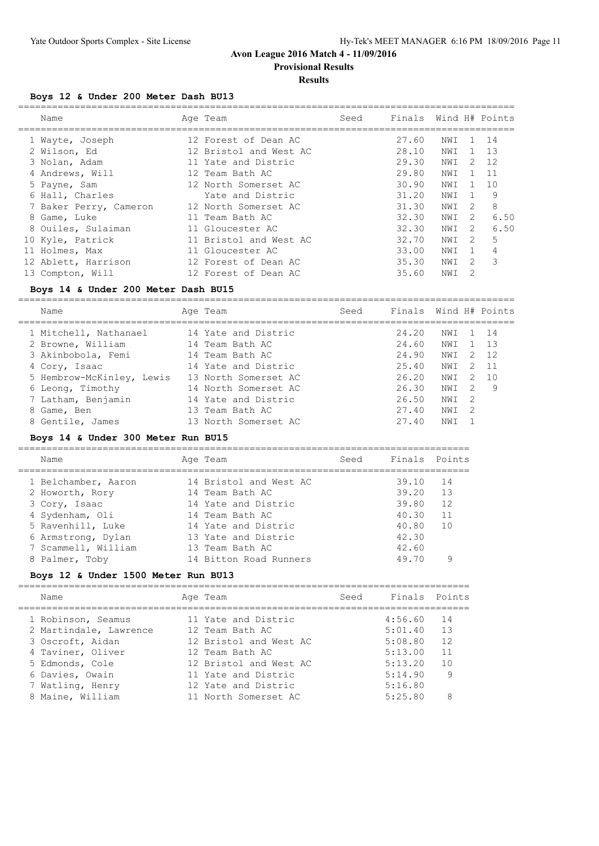**Provisional Results**

## **Results**

## **Boys 12 & Under 200 Meter Dash BU13**

| Name                   | Age Team               | Seed | Finals Wind H# Points |     |                |              |
|------------------------|------------------------|------|-----------------------|-----|----------------|--------------|
| 1 Wayte, Joseph        | 12 Forest of Dean AC   |      | 27.60                 | NWI |                | 1 14         |
| 2 Wilson, Ed           | 12 Bristol and West AC |      | 28.10                 | NWI |                | $1 \quad 13$ |
| 3 Nolan, Adam          | 11 Yate and Distric    |      | 29.30                 | NWI | 2              | 12           |
| 4 Andrews, Will        | 12 Team Bath AC        |      | 29.80                 | NWI |                | $1 \quad 11$ |
| 5 Payne, Sam           | 12 North Somerset AC   |      | 30.90                 | NWI |                | 10           |
| 6 Hall, Charles        | Yate and Distric       |      | 31.20                 | NWI | $\overline{1}$ | 9            |
| 7 Baker Perry, Cameron | 12 North Somerset AC   |      | 31.30                 | NWI | 2              | 8            |
| 8 Game, Luke           | 11 Team Bath AC        |      | 32.30                 | NWI | 2              | 6.50         |
| 8 Ouiles, Sulaiman     | 11 Gloucester AC       |      | 32.30                 | NWI | 2              | 6.50         |
| 10 Kyle, Patrick       | 11 Bristol and West AC |      | 32.70                 | NWI | 2              | 5.           |
| 11 Holmes, Max         | 11 Gloucester AC       |      | 33.00                 | NWI | -1             | 4            |
| 12 Ablett, Harrison    | 12 Forest of Dean AC   |      | 35.30                 | NWI | 2              | 3            |
| 13 Compton, Will       | 12 Forest of Dean AC   |      | 35.60                 | NWI | 2              |              |
|                        |                        |      |                       |     |                |              |

## **Boys 14 & Under 200 Meter Dash BU15**

| Name                      | Age Team             | Seed | Finals Wind H# Points |     |               |       |
|---------------------------|----------------------|------|-----------------------|-----|---------------|-------|
| 1 Mitchell, Nathanael     | 14 Yate and Distric  |      | 24.20                 | NWI |               | 14    |
| 2 Browne, William         | 14 Team Bath AC      |      | 24.60                 | NWI |               | - 1.3 |
| 3 Akinbobola, Femi        | 14 Team Bath AC      |      | 24.90                 | NWI | $\mathcal{P}$ | 12    |
| 4 Cory, Isaac             | 14 Yate and Distric  |      | 25.40                 | NWI | 2             | $-11$ |
| 5 Hembrow-McKinley, Lewis | 13 North Somerset AC |      | 26.20                 | NWI | 2             | 10    |
| 6 Leong, Timothy          | 14 North Somerset AC |      | 26.30                 | NWI | 2             | 9     |
| 7 Latham, Benjamin        | 14 Yate and Distric  |      | 26.50                 | NWI | -2            |       |
| 8 Game, Ben               | 13 Team Bath AC      |      | 27.40                 | NWI | 2             |       |
| 8 Gentile, James          | 13 North Somerset AC |      | 27.40                 | NWI |               |       |
|                           |                      |      |                       |     |               |       |

#### **Boys 14 & Under 300 Meter Run BU15**

| Name                |  | Age Team               | Seed | Finals Points |    |  |  |  |  |
|---------------------|--|------------------------|------|---------------|----|--|--|--|--|
|                     |  |                        |      |               |    |  |  |  |  |
| 1 Belchamber, Aaron |  | 14 Bristol and West AC |      | 39.10 14      |    |  |  |  |  |
| 2 Howorth, Rory     |  | 14 Team Bath AC        |      | 39.20         | 13 |  |  |  |  |
| 3 Cory, Isaac       |  | 14 Yate and Distric    |      | 39.80         | 12 |  |  |  |  |
| 4 Sydenham, Oli     |  | 14 Team Bath AC        |      | 4030          | 11 |  |  |  |  |

| 5 Ravenhill, Luke   | 14 Yate and Distric    | 40.80<br>$-1()$ |
|---------------------|------------------------|-----------------|
| 6 Armstrong, Dylan  | 13 Yate and Distric    | 42.30           |
| 7 Scammell, William | 13 Team Bath AC        | 42.60           |
| 8 Palmer, Toby      | 14 Bitton Road Runners | 49.70           |
|                     |                        |                 |

================================================================================

#### **Boys 12 & Under 1500 Meter Run BU13**

| Name                   | Age Team               | Seed | Finals Points |     |
|------------------------|------------------------|------|---------------|-----|
| 1 Robinson, Seamus     | 11 Yate and Distric    |      | 4:56.60       | 14  |
| 2 Martindale, Lawrence | 12 Team Bath AC        |      | 5:01.40       | 13  |
| 3 Oscroft, Aidan       | 12 Bristol and West AC |      | 5:08.80       | 12  |
| 4 Taviner, Oliver      | 12 Team Bath AC        |      | 5:13.00       | 11  |
| 5 Edmonds, Cole        | 12 Bristol and West AC |      | 5:13.20       | 1 N |
| 6 Davies, Owain        | 11 Yate and Distric    |      | 5:14.90       | 9   |
| 7 Watling, Henry       | 12 Yate and Distric    |      | 5:16.80       |     |
| 8 Maine, William       | 11 North Somerset AC   |      | 5:25.80       | 8   |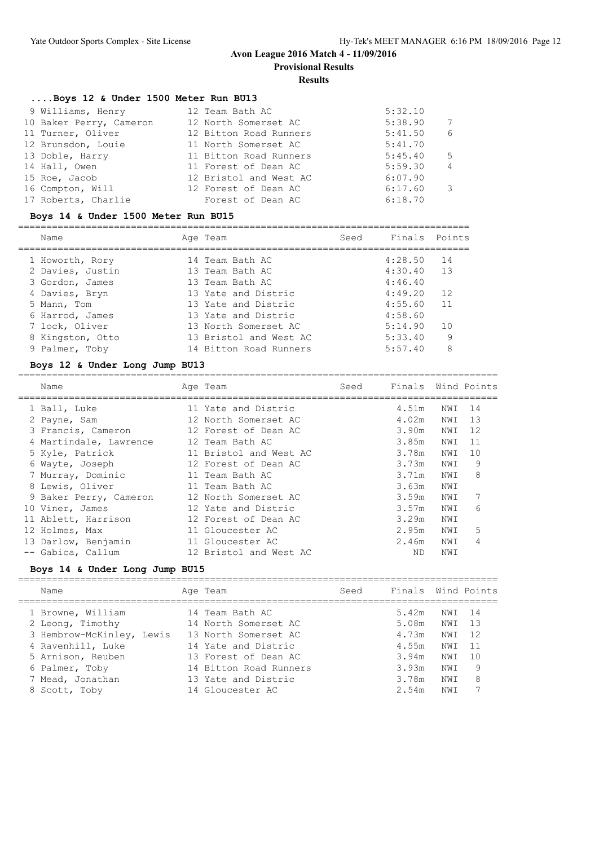**Provisional Results**

#### **Results**

#### **....Boys 12 & Under 1500 Meter Run BU13**

|                 | 9 Williams, Henry       | 12 Team Bath AC        | 5:32.10 |                |
|-----------------|-------------------------|------------------------|---------|----------------|
|                 | 10 Baker Perry, Cameron | 12 North Somerset AC   | 5:38.90 | 7              |
|                 | 11 Turner, Oliver       | 12 Bitton Road Runners | 5:41.50 | 6              |
|                 | 12 Brunsdon, Louie      | 11 North Somerset AC   | 5:41.70 |                |
| 13 Doble, Harry |                         | 11 Bitton Road Runners | 5:45.40 | -5             |
| 14 Hall, Owen   |                         | 11 Forest of Dean AC   | 5:59.30 | $\overline{4}$ |
| 15 Roe, Jacob   |                         | 12 Bristol and West AC | 6:07.90 |                |
|                 | 16 Compton, Will        | 12 Forest of Dean AC   | 6:17.60 | 3              |
|                 | 17 Roberts, Charlie     | Forest of Dean AC      | 6:18.70 |                |

#### **Boys 14 & Under 1500 Meter Run BU15**

================================================================================ Name **Age Team** Age Team Seed Finals Points ================================================================================ 1 Howorth, Rory 14 Team Bath AC 4:28.50 14 2 Davies, Justin 13 Team Bath AC 4:30.40 13 3 Gordon, James 13 Team Bath AC 4:46.40 4 Davies, Bryn 13 Yate and Distric 4:49.20 12 5 Mann, Tom 13 Yate and Distric 4:55.60 11 6 Harrod, James 13 Yate and Distric 4:58.60 7 lock, Oliver 13 North Somerset AC 5:14.90 10 8 Kingston, Otto 13 Bristol and West AC 5:33.40 9 9 Palmer, Toby 14 Bitton Road Runners 5:57.40 8

#### **Boys 12 & Under Long Jump BU13**

| Name                   |  | Seed                                                                                                                                                                                                                                                                                                                                |       |     |                    |
|------------------------|--|-------------------------------------------------------------------------------------------------------------------------------------------------------------------------------------------------------------------------------------------------------------------------------------------------------------------------------------|-------|-----|--------------------|
| 1 Ball, Luke           |  |                                                                                                                                                                                                                                                                                                                                     | 4.51m | NWI | 14                 |
| 2 Payne, Sam           |  |                                                                                                                                                                                                                                                                                                                                     | 4.02m | NWI | 13                 |
| 3 Francis, Cameron     |  |                                                                                                                                                                                                                                                                                                                                     | 3.90m | NWI | 12                 |
| 4 Martindale, Lawrence |  |                                                                                                                                                                                                                                                                                                                                     | 3.85m | NWI | 11                 |
| 5 Kyle, Patrick        |  |                                                                                                                                                                                                                                                                                                                                     | 3.78m | NWI | 10                 |
| 6 Wayte, Joseph        |  |                                                                                                                                                                                                                                                                                                                                     | 3.73m | NWI | 9                  |
| 7 Murray, Dominic      |  |                                                                                                                                                                                                                                                                                                                                     | 3.71m | NWI | 8                  |
| 8 Lewis, Oliver        |  |                                                                                                                                                                                                                                                                                                                                     | 3.63m | NWI |                    |
| 9 Baker Perry, Cameron |  |                                                                                                                                                                                                                                                                                                                                     | 3.59m | NWI | 7                  |
| 10 Viner, James        |  |                                                                                                                                                                                                                                                                                                                                     | 3.57m | NWI | 6                  |
| 11 Ablett, Harrison    |  |                                                                                                                                                                                                                                                                                                                                     | 3.29m | NWI |                    |
| 12 Holmes, Max         |  |                                                                                                                                                                                                                                                                                                                                     | 2.95m | NWI | 5                  |
| 13 Darlow, Benjamin    |  |                                                                                                                                                                                                                                                                                                                                     | 2.46m | NWI | 4                  |
| -- Gabica, Callum      |  |                                                                                                                                                                                                                                                                                                                                     | ND.   | NWI |                    |
|                        |  | Age Team<br>11 Yate and Distric<br>12 North Somerset AC<br>12 Forest of Dean AC<br>12 Team Bath AC<br>11 Bristol and West AC<br>12 Forest of Dean AC<br>11 Team Bath AC<br>11 Team Bath AC<br>12 North Somerset AC<br>12 Yate and Distric<br>12 Forest of Dean AC<br>11 Gloucester AC<br>11 Gloucester AC<br>12 Bristol and West AC |       |     | Finals Wind Points |

#### **Boys 14 & Under Long Jump BU15**

| Name                                   | Age Team                                    | Seed | Finals Wind Points |            |          |
|----------------------------------------|---------------------------------------------|------|--------------------|------------|----------|
| 1 Browne, William<br>2 Leong, Timothy  | 14 Team Bath AC<br>14 North Somerset AC     |      | 5.42m<br>5.08m     | NWI<br>NWI | 14<br>13 |
| 3 Hembrow-McKinley, Lewis              | 13 North Somerset AC                        |      | 4.73m              | NWI        | 12       |
| 4 Ravenhill, Luke<br>5 Arnison, Reuben | 14 Yate and Distric<br>13 Forest of Dean AC |      | 4.55m<br>3.94m     | NWI<br>NWI | 10       |
| 6 Palmer, Toby                         | 14 Bitton Road Runners                      |      | 3.93m              | NWI        | 9        |
| 7 Mead, Jonathan<br>8 Scott, Toby      | 13 Yate and Distric<br>14 Gloucester AC     |      | 3.78m<br>2.54m     | NWI<br>NWI | 8        |
|                                        |                                             |      |                    |            |          |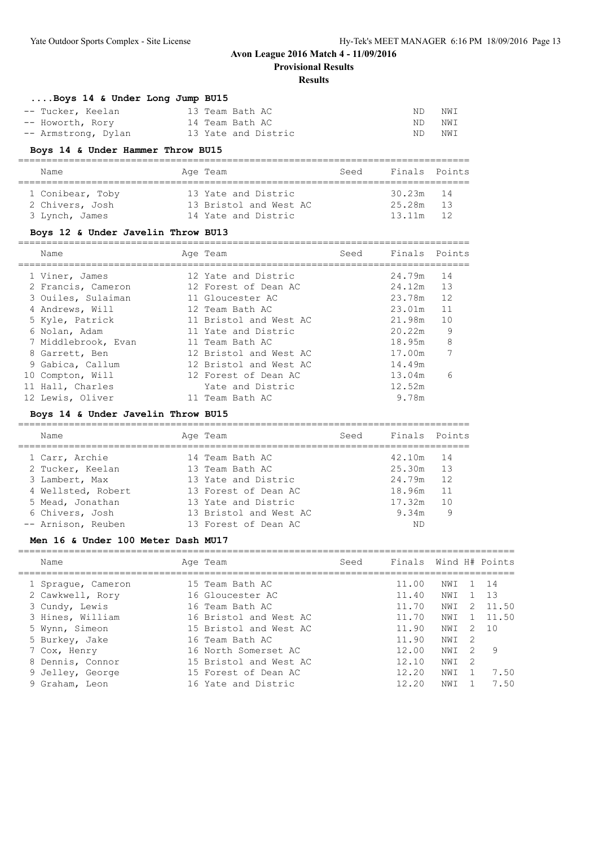**Provisional Results**

#### **Results**

| Boys 14 & Under Long Jump BU15 |                     |     |     |
|--------------------------------|---------------------|-----|-----|
| -- Tucker, Keelan              | 13 Team Bath AC     | ND. | NWI |
| -- Howorth, Rory               | 14 Team Bath AC     | ND  | NWI |
| -- Armstrong, Dylan            | 13 Yate and Distric | ND  | NWI |

## **Boys 14 & Under Hammer Throw BU15**

| Name             | Age Team               | Seed | Finals Points |    |  |  |  |  |  |  |  |
|------------------|------------------------|------|---------------|----|--|--|--|--|--|--|--|
|                  |                        |      |               |    |  |  |  |  |  |  |  |
| 1 Conibear, Toby | 13 Yate and Distric    |      | $30.23m$ 14   |    |  |  |  |  |  |  |  |
| 2 Chivers, Josh  | 13 Bristol and West AC |      | 25.28m        | 13 |  |  |  |  |  |  |  |
| 3 Lynch, James   | 14 Yate and Distric    |      | 13.11m        | 12 |  |  |  |  |  |  |  |

# **Boys 12 & Under Javelin Throw BU13**

| Name                | Age Team               | Seed | Finals Points |    |
|---------------------|------------------------|------|---------------|----|
| 1 Viner, James      | 12 Yate and Distric    |      | 24.79m        | 14 |
| 2 Francis, Cameron  | 12 Forest of Dean AC   |      | 24.12m        | 13 |
| 3 Ouiles, Sulaiman  | 11 Gloucester AC       |      | 23.78m        | 12 |
| 4 Andrews, Will     | 12 Team Bath AC        |      | 23.01m        | 11 |
| 5 Kyle, Patrick     | 11 Bristol and West AC |      | 21.98m        | 10 |
| 6 Nolan, Adam       | 11 Yate and Distric    |      | 20.22m        | 9  |
| 7 Middlebrook, Evan | 11 Team Bath AC        |      | 18.95m        | 8  |
| 8 Garrett, Ben      | 12 Bristol and West AC |      | 17.00m        | 7  |
| 9 Gabica, Callum    | 12 Bristol and West AC |      | 14.49m        |    |
| 10 Compton, Will    | 12 Forest of Dean AC   |      | 13.04m        | 6  |
| 11 Hall, Charles    | Yate and Distric       |      | 12.52m        |    |
| 12 Lewis, Oliver    | 11 Team Bath AC        |      | 9.78m         |    |

#### **Boys 14 & Under Javelin Throw BU15**

| Name               | Age Team               | Seed | Finals Points |    |
|--------------------|------------------------|------|---------------|----|
| 1 Carr, Archie     | 14 Team Bath AC        |      | 42.10m 14     |    |
| 2 Tucker, Keelan   | 13 Team Bath AC        |      | 25.30m 13     |    |
| 3 Lambert, Max     | 13 Yate and Distric    |      | 24.79m        | 12 |
| 4 Wellsted, Robert | 13 Forest of Dean AC   |      | 18.96m        | 11 |
| 5 Mead, Jonathan   | 13 Yate and Distric    |      | 17.32m        | 10 |
| 6 Chivers, Josh    | 13 Bristol and West AC |      | 9.34m         | 9  |
| -- Arnison, Reuben | 13 Forest of Dean AC   |      | ND            |    |

## **Men 16 & Under 100 Meter Dash MU17**

| Name               | Age Team               | Seed | Finals Wind H# Points |     |               |       |
|--------------------|------------------------|------|-----------------------|-----|---------------|-------|
| 1 Spraque, Cameron | 15 Team Bath AC        |      | 11.00                 | NWI |               | 1 14  |
| 2 Cawkwell, Rory   | 16 Gloucester AC       |      | 11.40                 | NWI |               | 13    |
| 3 Cundy, Lewis     | 16 Team Bath AC        |      | 11.70                 | NWI | 2             | 11.50 |
| 3 Hines, William   | 16 Bristol and West AC |      | 11.70                 | NWI |               | 11.50 |
| 5 Wynn, Simeon     | 15 Bristol and West AC |      | 11.90                 | NWI | $\mathcal{L}$ | 1 O   |
| 5 Burkey, Jake     | 16 Team Bath AC        |      | 11.90                 | NWI | -2            |       |
| 7 Cox, Henry       | 16 North Somerset AC   |      | 12.00                 | NWI | -2            | 9     |
| 8 Dennis, Connor   | 15 Bristol and West AC |      | 12.10                 | NWI | -2            |       |
| 9 Jelley, George   | 15 Forest of Dean AC   |      | 12.20                 | NWI |               | 7.50  |
| 9 Graham, Leon     | 16 Yate and Distric    |      | 12.20                 | NWI |               | 7.50  |
|                    |                        |      |                       |     |               |       |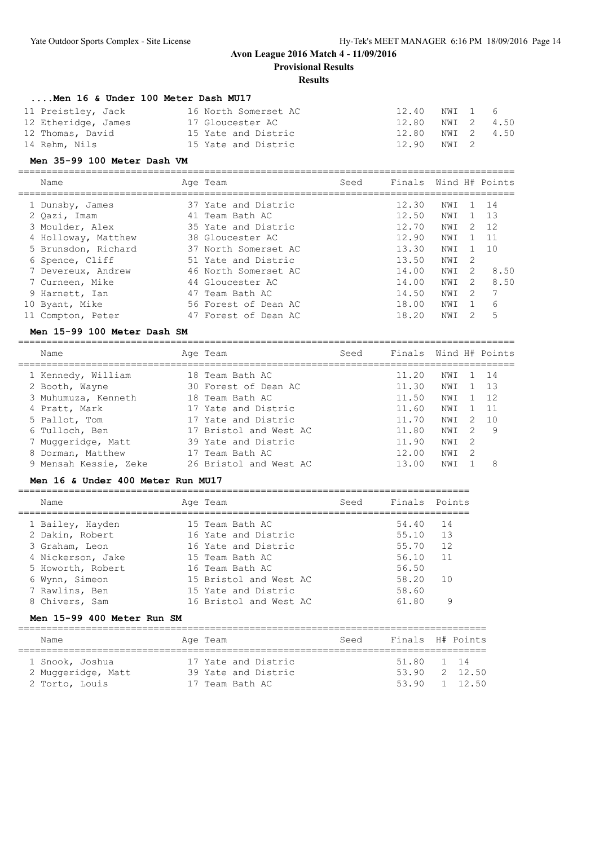**Provisional Results**

## **Results**

| Men 16 & Under 100 Meter Dash MU17 |                      |               |            |            |
|------------------------------------|----------------------|---------------|------------|------------|
| 11 Preistley, Jack                 | 16 North Somerset AC | 12.40 NWI 1 6 |            |            |
| 12 Etheridge, James                | 17 Gloucester AC     | 12.80         |            | NWI 2 4.50 |
| 12 Thomas, David                   | 15 Yate and Distric  | 12.80         | NWI 2 4.50 |            |
| 14 Rehm, Nils                      | 15 Yate and Distric  | 12.90         | NWI 2      |            |

#### **Men 35-99 100 Meter Dash VM**

| Name                | Age Team             | Seed | Finals Wind H# Points |     |               |      |
|---------------------|----------------------|------|-----------------------|-----|---------------|------|
| 1 Dunsby, James     | 37 Yate and Distric  |      | 12.30                 | NWI |               | 14   |
| 2 Oazi, Imam        | 41 Team Bath AC      |      | 12.50                 | NWI |               | 1 13 |
| 3 Moulder, Alex     | 35 Yate and Distric  |      | 12.70                 | NWI | 2             | 12   |
| 4 Holloway, Matthew | 38 Gloucester AC     |      | 12.90                 | NWI |               | 11   |
| 5 Brunsdon, Richard | 37 North Somerset AC |      | 13.30                 | NWI |               | 10   |
| 6 Spence, Cliff     | 51 Yate and Distric  |      | 13.50                 | NWI | -2            |      |
| 7 Devereux, Andrew  | 46 North Somerset AC |      | 14.00                 | NWI | 2             | 8.50 |
| 7 Curneen, Mike     | 44 Gloucester AC     |      | 14.00                 | NWI | $\mathcal{L}$ | 8.50 |
| 9 Harnett, Ian      | 47 Team Bath AC      |      | 14.50                 | NWI | 2             |      |
| 10 Byant, Mike      | 56 Forest of Dean AC |      | 18.00                 | NWI | -1            | 6    |
| 11 Compton, Peter   | 47 Forest of Dean AC |      | 18.20                 | NWI |               | 5    |
|                     |                      |      |                       |     |               |      |

## **Men 15-99 100 Meter Dash SM**

| Name                  | Age Team               | Seed | Finals Wind H# Points |     |                |      |
|-----------------------|------------------------|------|-----------------------|-----|----------------|------|
| 1 Kennedy, William    | 18 Team Bath AC        |      | 11.20                 | NWI |                | 1 14 |
| 2 Booth, Wayne        | 30 Forest of Dean AC   |      | 11.30                 | NWI |                | -13  |
| 3 Muhumuza, Kenneth   | 18 Team Bath AC        |      | 11.50                 | NWI |                | 12   |
| 4 Pratt, Mark         | 17 Yate and Distric    |      | 11.60                 | NWI |                | 11   |
| 5 Pallot, Tom         | 17 Yate and Distric    |      | 11.70                 | NWI | 2              | 1 O  |
| 6 Tulloch, Ben        | 17 Bristol and West AC |      | 11.80                 | NWI | 2              | -9   |
| 7 Muggeridge, Matt    | 39 Yate and Distric    |      | 11.90                 | NWI | $\overline{2}$ |      |
| 8 Dorman, Matthew     | 17 Team Bath AC        |      | 12.00                 | NWI | $\mathcal{L}$  |      |
| 9 Mensah Kessie, Zeke | 26 Bristol and West AC |      | 13.00                 | NWI |                | 8    |
|                       |                        |      |                       |     |                |      |

## **Men 16 & Under 400 Meter Run MU17**

| Name              | Age Team               | Seed | Finals Points |     |
|-------------------|------------------------|------|---------------|-----|
| 1 Bailey, Hayden  | 15 Team Bath AC        |      | 54.40         | 14  |
| 2 Dakin, Robert   | 16 Yate and Distric    |      | 55.10         | 13  |
| 3 Graham, Leon    | 16 Yate and Distric    |      | 55.70         | 12  |
| 4 Nickerson, Jake | 15 Team Bath AC        |      | 56.10         | 11  |
| 5 Howorth, Robert | 16 Team Bath AC        |      | 56.50         |     |
| 6 Wynn, Simeon    | 15 Bristol and West AC |      | 58.20         | 1 N |
| 7 Rawlins, Ben    | 15 Yate and Distric    |      | 58.60         |     |
| 8 Chivers, Sam    | 16 Bristol and West AC |      | 61.80         | 9   |

#### **Men 15-99 400 Meter Run SM**

| Name               | Age Team            | Seed | Finals H# Points |  |
|--------------------|---------------------|------|------------------|--|
|                    |                     |      |                  |  |
| 1 Snook, Joshua    | 17 Yate and Distric |      | 51.80 1 14       |  |
| 2 Muggeridge, Matt | 39 Yate and Distric |      | 53.90 2 12.50    |  |
| 2 Torto, Louis     | 17 Team Bath AC     |      | 53.90 1 12.50    |  |
|                    |                     |      |                  |  |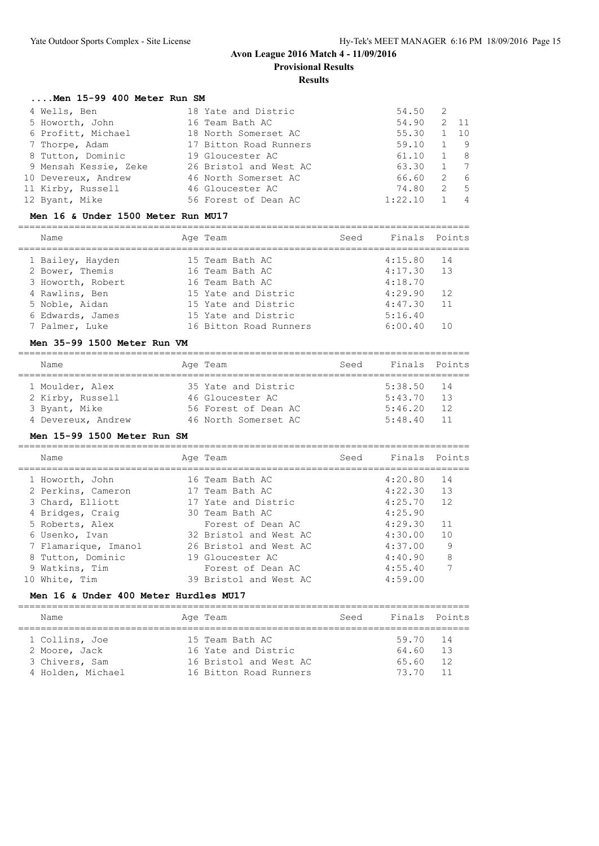**Provisional Results**

# **Results**

#### **....Men 15-99 400 Meter Run SM**

| 4 Wells, Ben          | 18 Yate and Distric    | 54.50   | 2 |                |
|-----------------------|------------------------|---------|---|----------------|
| 5 Howorth, John       | 16 Team Bath AC        | 54.90   |   | 2 11           |
| 6 Profitt, Michael    | 18 North Somerset AC   | 55.30   |   | 1 10           |
| 7 Thorpe, Adam        | 17 Bitton Road Runners | 59.10   |   | - 9            |
| 8 Tutton, Dominic     | 19 Gloucester AC       | 61.10   |   | 8              |
| 9 Mensah Kessie, Zeke | 26 Bristol and West AC | 63.30   |   | 1 7            |
| 10 Devereux, Andrew   | 46 North Somerset AC   | 66.60   | 2 | 6              |
| 11 Kirby, Russell     | 46 Gloucester AC       | 74.80   | 2 | $5^{\circ}$    |
| 12 Byant, Mike        | 56 Forest of Dean AC   | 1:22.10 |   | $\overline{4}$ |

#### **Men 16 & Under 1500 Meter Run MU17**

| Name                                | Age Team                           | Seed | Finals Points      |          |
|-------------------------------------|------------------------------------|------|--------------------|----------|
| 1 Bailey, Hayden<br>2 Bower, Themis | 15 Team Bath AC<br>16 Team Bath AC |      | 4:15.80<br>4:17.30 | 14<br>13 |
| 3 Howorth, Robert                   | 16 Team Bath AC                    |      | 4:18.70            |          |
| 4 Rawlins, Ben                      | 15 Yate and Distric                |      | 4:29.90            | 12       |
| 5 Noble, Aidan                      | 15 Yate and Distric                |      | 4:47.30            | 11       |
| 6 Edwards, James                    | 15 Yate and Distric                |      | 5:16.40            |          |
| 7 Palmer, Luke                      | 16 Bitton Road Runners             |      | 6:00.40            |          |
|                                     |                                    |      |                    |          |

#### **Men 35-99 1500 Meter Run VM**

| Name               | Age Team             | Seed |              | Finals Points |
|--------------------|----------------------|------|--------------|---------------|
| 1 Moulder, Alex    | 35 Yate and Distric  |      | $5:38.50$ 14 |               |
| 2 Kirby, Russell   | 46 Gloucester AC     |      | 5:43.70      | 13            |
| 3 Byant, Mike      | 56 Forest of Dean AC |      | 5:46.20      | 12            |
| 4 Devereux, Andrew | 46 North Somerset AC |      | 5:48.40      | 11            |

#### **Men 15-99 1500 Meter Run SM**

================================================================================

|    | Name                 | Age Team               | Seed | Finals Points |    |
|----|----------------------|------------------------|------|---------------|----|
|    | 1 Howorth, John      | 16 Team Bath AC        |      | 4:20.80       | 14 |
|    | 2 Perkins, Cameron   | 17 Team Bath AC        |      | 4:22.30       | 13 |
|    | 3 Chard, Elliott     | 17 Yate and Distric    |      | 4:25.70       | 12 |
|    | 4 Bridges, Craig     | 30 Team Bath AC        |      | 4:25.90       |    |
|    | 5 Roberts, Alex      | Forest of Dean AC      |      | 4:29.30       | 11 |
|    | 6 Usenko, Ivan       | 32 Bristol and West AC |      | 4:30.00       | 10 |
|    | 7 Flamarique, Imanol | 26 Bristol and West AC |      | 4:37.00       | 9  |
|    | 8 Tutton, Dominic    | 19 Gloucester AC       |      | 4:40.90       | 8  |
|    | 9 Watkins, Tim       | Forest of Dean AC      |      | 4:55.40       | 7  |
| 10 | White, Tim           | 39 Bristol and West AC |      | 4:59.00       |    |
|    |                      |                        |      |               |    |

#### **Men 16 & Under 400 Meter Hurdles MU17**

| Name                            | Age Team                                      | Seed | Finals Points  |          |
|---------------------------------|-----------------------------------------------|------|----------------|----------|
| 1 Collins, Joe                  | 15 Team Bath AC                               |      | 59.70 14       |          |
| 2 Moore, Jack<br>3 Chivers, Sam | 16 Yate and Distric<br>16 Bristol and West AC |      | 64.60<br>65.60 | 13<br>12 |
| 4 Holden, Michael               | 16 Bitton Road Runners                        |      | 73.70          | 11       |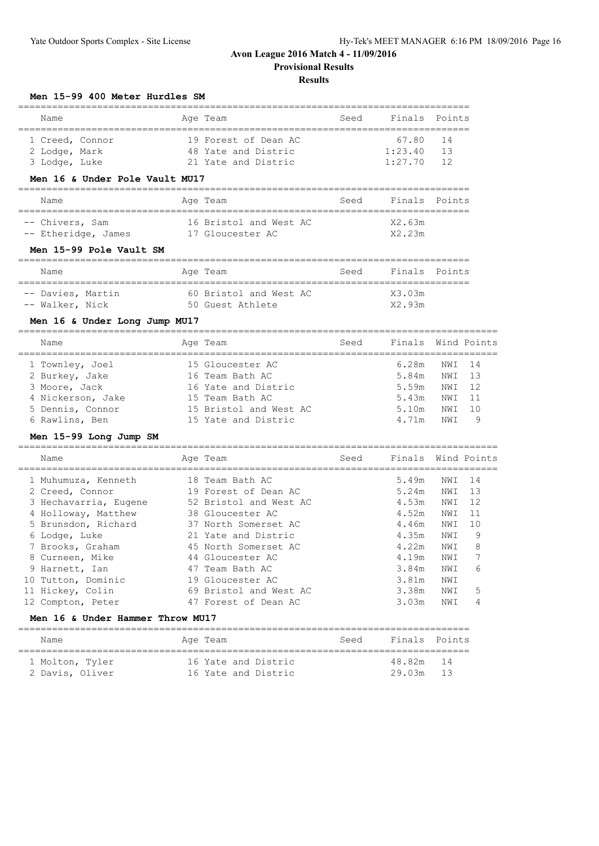**Provisional Results**

## **Results**

#### **Men 15-99 400 Meter Hurdles SM**

| Name            |  |  | Age Team             | Seed | Finals Points |    |  |  |  |
|-----------------|--|--|----------------------|------|---------------|----|--|--|--|
|                 |  |  |                      |      |               |    |  |  |  |
| 1 Creed, Connor |  |  | 19 Forest of Dean AC |      | 67.80 14      |    |  |  |  |
| 2 Lodge, Mark   |  |  | 48 Yate and Distric  |      | 1:23.40       | 13 |  |  |  |
| 3 Lodge, Luke   |  |  | 21 Yate and Distric  |      | $1:27.70$ 12  |    |  |  |  |

## **Men 16 & Under Pole Vault MU17**

| Name                |  | Age Team               | Seed | Finals Points |  |  |  |  |  |
|---------------------|--|------------------------|------|---------------|--|--|--|--|--|
|                     |  |                        |      |               |  |  |  |  |  |
| -- Chivers, Sam     |  | 16 Bristol and West AC |      | X2.63m        |  |  |  |  |  |
| -- Etheridge, James |  | 17 Gloucester AC       |      | X2.23m        |  |  |  |  |  |

#### **Men 15-99 Pole Vault SM**

| Name              |  | Age Team               | Seed | Finals Points |  |
|-------------------|--|------------------------|------|---------------|--|
| -- Davies, Martin |  | 60 Bristol and West AC |      | X3.03m        |  |
| -- Walker, Nick   |  | 50 Guest Athlete       |      | X2.93m        |  |

#### **Men 16 & Under Long Jump MU17**

| Name              | Age Team               | Seed | Finals Wind Points |        |    |
|-------------------|------------------------|------|--------------------|--------|----|
| 1 Townley, Joel   | 15 Gloucester AC       |      | 6.28m              | NWI 14 |    |
| 2 Burkey, Jake    | 16 Team Bath AC        |      | 5.84m              | NWI    | 13 |
| 3 Moore, Jack     | 16 Yate and Distric    |      | 5.59m              | NWI    | 12 |
| 4 Nickerson, Jake | 15 Team Bath AC        |      | 5.43m              | NWI    | 11 |
| 5 Dennis, Connor  | 15 Bristol and West AC |      | 5.10m              | NWI    | 10 |
| 6 Rawlins, Ben    | 15 Yate and Distric    |      | 4.71m              | NW T   | 9  |

#### **Men 15-99 Long Jump SM**

| Name                  | Age Team               | Seed | Finals Wind Points |     |      |
|-----------------------|------------------------|------|--------------------|-----|------|
| 1 Muhumuza, Kenneth   | 18 Team Bath AC        |      | 5.49m              | NWI | -14  |
| 2 Creed, Connor       | 19 Forest of Dean AC   |      | 5.24m              | NWI | - 13 |
| 3 Hechavarria, Eugene | 52 Bristol and West AC |      | 4.53m              | NWI | 12   |
| 4 Holloway, Matthew   | 38 Gloucester AC       |      | 4.52m              | NWI | 11   |
| 5 Brunsdon, Richard   | 37 North Somerset AC   |      | 4.46m              | NWI | 10   |
| 6 Lodge, Luke         | 21 Yate and Distric    |      | 4.35m              | NWI | 9    |
| 7 Brooks, Graham      | 45 North Somerset AC   |      | 4.22m              | NWI | 8    |
| 8 Curneen, Mike       | 44 Gloucester AC       |      | 4.19m              | NWI |      |
| 9 Harnett, Ian        | 47 Team Bath AC        |      | 3.84m              | NWI | 6    |
| 10 Tutton, Dominic    | 19 Gloucester AC       |      | 3.81m              | NWI |      |
| 11 Hickey, Colin      | 69 Bristol and West AC |      | 3.38m              | NWI | 5    |
| 12 Compton, Peter     | 47 Forest of Dean AC   |      | 3.03m              | NWI | 4    |
|                       |                        |      |                    |     |      |

#### **Men 16 & Under Hammer Throw MU17**

| Name                               | Age Team                                   | Seed | Finals Points                |  |
|------------------------------------|--------------------------------------------|------|------------------------------|--|
| 1 Molton, Tyler<br>2 Davis, Oliver | 16 Yate and Distric<br>16 Yate and Distric |      | 48.82m<br>14<br>29.03m<br>13 |  |